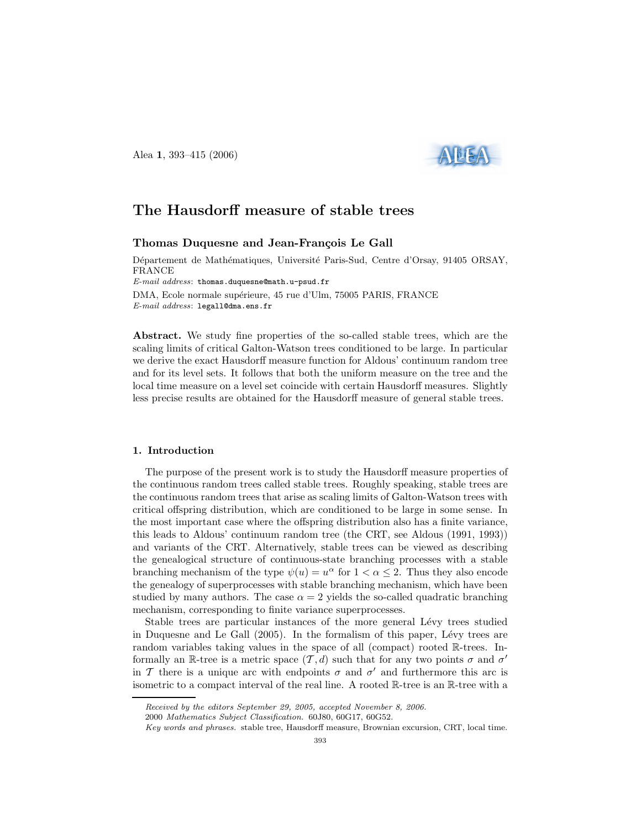Alea 1, 393–415 (2006)



# The Hausdorff measure of stable trees

#### Thomas Duquesne and Jean-François Le Gall

Département de Mathématiques, Université Paris-Sud, Centre d'Orsay, 91405 ORSAY, FRANCE E-mail address: thomas.duquesne@math.u-psud.fr

DMA, Ecole normale supérieure, 45 rue d'Ulm, 75005 PARIS, FRANCE E-mail address: legall@dma.ens.fr

Abstract. We study fine properties of the so-called stable trees, which are the scaling limits of critical Galton-Watson trees conditioned to be large. In particular we derive the exact Hausdorff measure function for Aldous' continuum random tree and for its level sets. It follows that both the uniform measure on the tree and the local time measure on a level set coincide with certain Hausdorff measures. Slightly less precise results are obtained for the Hausdorff measure of general stable trees.

## 1. Introduction

The purpose of the present work is to study the Hausdorff measure properties of the continuous random trees called stable trees. Roughly speaking, stable trees are the continuous random trees that arise as scaling limits of Galton-Watson trees with critical offspring distribution, which are conditioned to be large in some sense. In the most important case where the offspring distribution also has a finite variance, this leads to Aldous' continuum random tree (the CRT, see Aldous (1991, 1993)) and variants of the CRT. Alternatively, stable trees can be viewed as describing the genealogical structure of continuous-state branching processes with a stable branching mechanism of the type  $\psi(u) = u^{\alpha}$  for  $1 < \alpha \leq 2$ . Thus they also encode the genealogy of superprocesses with stable branching mechanism, which have been studied by many authors. The case  $\alpha = 2$  yields the so-called quadratic branching mechanism, corresponding to finite variance superprocesses.

Stable trees are particular instances of the more general Lévy trees studied in Duquesne and Le Gall  $(2005)$ . In the formalism of this paper, Lévy trees are random variables taking values in the space of all (compact) rooted R-trees. Informally an R-tree is a metric space  $(\mathcal{T}, d)$  such that for any two points  $\sigma$  and  $\sigma'$ in T there is a unique arc with endpoints  $\sigma$  and  $\sigma'$  and furthermore this arc is isometric to a compact interval of the real line. A rooted R-tree is an R-tree with a

Received by the editors September 29, 2005, accepted November 8, 2006.

<sup>2000</sup> Mathematics Subject Classification. 60J80, 60G17, 60G52.

Key words and phrases. stable tree, Hausdorff measure, Brownian excursion, CRT, local time.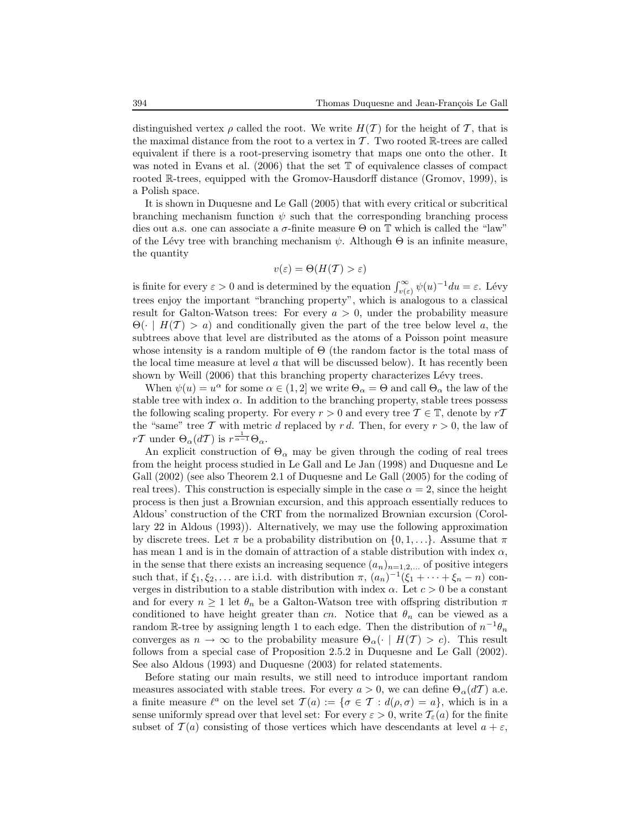distinguished vertex  $\rho$  called the root. We write  $H(\mathcal{T})$  for the height of  $\mathcal{T}$ , that is the maximal distance from the root to a vertex in  $\mathcal T$ . Two rooted R-trees are called equivalent if there is a root-preserving isometry that maps one onto the other. It was noted in Evans et al.  $(2006)$  that the set  $\mathbb T$  of equivalence classes of compact rooted R-trees, equipped with the Gromov-Hausdorff distance (Gromov, 1999), is a Polish space.

It is shown in Duquesne and Le Gall (2005) that with every critical or subcritical branching mechanism function  $\psi$  such that the corresponding branching process dies out a.s. one can associate a  $\sigma$ -finite measure  $\Theta$  on  $\mathbb T$  which is called the "law" of the Lévy tree with branching mechanism  $\psi$ . Although  $\Theta$  is an infinite measure, the quantity

$$
v(\varepsilon) = \Theta(H(\mathcal{T}) > \varepsilon)
$$

is finite for every  $\varepsilon > 0$  and is determined by the equation  $\int_{v(\varepsilon)}^{\infty} \psi(u)^{-1} du = \varepsilon$ . Lévy trees enjoy the important "branching property", which is analogous to a classical result for Galton-Watson trees: For every  $a > 0$ , under the probability measure  $\Theta(\cdot | H(T) > a)$  and conditionally given the part of the tree below level a, the subtrees above that level are distributed as the atoms of a Poisson point measure whose intensity is a random multiple of Θ (the random factor is the total mass of the local time measure at level  $a$  that will be discussed below). It has recently been shown by Weill (2006) that this branching property characterizes Lévy trees.

When  $\psi(u) = u^{\alpha}$  for some  $\alpha \in (1, 2]$  we write  $\Theta_{\alpha} = \Theta$  and call  $\Theta_{\alpha}$  the law of the stable tree with index  $\alpha$ . In addition to the branching property, stable trees possess the following scaling property. For every  $r > 0$  and every tree  $\mathcal{T} \in \mathbb{T}$ , denote by  $r\mathcal{T}$ the "same" tree T with metric d replaced by r d. Then, for every  $r > 0$ , the law of  $r\mathcal{T}$  under  $\Theta_{\alpha}(dT)$  is  $r^{\frac{1}{\alpha-1}}\Theta_{\alpha}$ .

An explicit construction of  $\Theta_{\alpha}$  may be given through the coding of real trees from the height process studied in Le Gall and Le Jan (1998) and Duquesne and Le Gall (2002) (see also Theorem 2.1 of Duquesne and Le Gall (2005) for the coding of real trees). This construction is especially simple in the case  $\alpha = 2$ , since the height process is then just a Brownian excursion, and this approach essentially reduces to Aldous' construction of the CRT from the normalized Brownian excursion (Corollary 22 in Aldous (1993)). Alternatively, we may use the following approximation by discrete trees. Let  $\pi$  be a probability distribution on  $\{0, 1, \ldots\}$ . Assume that  $\pi$ has mean 1 and is in the domain of attraction of a stable distribution with index  $\alpha$ , in the sense that there exists an increasing sequence  $(a_n)_{n=1,2,...}$  of positive integers such that, if  $\xi_1, \xi_2, \ldots$  are i.i.d. with distribution  $\pi$ ,  $(a_n)^{-1}(\xi_1 + \cdots + \xi_n - n)$  converges in distribution to a stable distribution with index  $\alpha$ . Let  $c > 0$  be a constant and for every  $n \geq 1$  let  $\theta_n$  be a Galton-Watson tree with offspring distribution  $\pi$ conditioned to have height greater than cn. Notice that  $\theta_n$  can be viewed as a random R-tree by assigning length 1 to each edge. Then the distribution of  $n^{-1}\theta_n$ converges as  $n \to \infty$  to the probability measure  $\Theta_{\alpha}(\cdot | H(T) > c)$ . This result follows from a special case of Proposition 2.5.2 in Duquesne and Le Gall (2002). See also Aldous (1993) and Duquesne (2003) for related statements.

Before stating our main results, we still need to introduce important random measures associated with stable trees. For every  $a > 0$ , we can define  $\Theta_{\alpha}(dT)$  a.e. a finite measure  $\ell^a$  on the level set  $\mathcal{T}(a) := \{ \sigma \in \mathcal{T} : d(\rho, \sigma) = a \}$ , which is in a sense uniformly spread over that level set: For every  $\varepsilon > 0$ , write  $\mathcal{T}_{\varepsilon}(a)$  for the finite subset of  $\mathcal{T}(a)$  consisting of those vertices which have descendants at level  $a + \varepsilon$ ,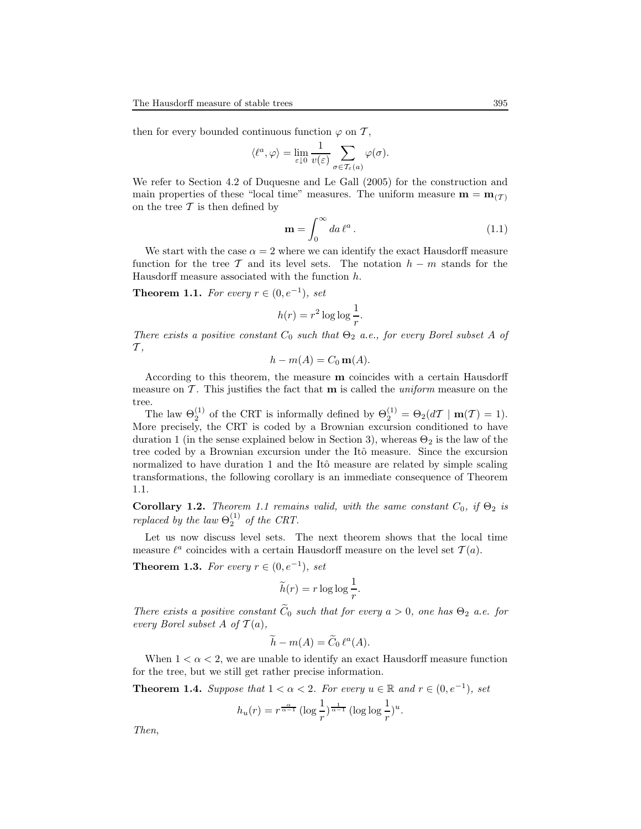then for every bounded continuous function  $\varphi$  on  $\mathcal{T}$ ,

$$
\langle \ell^a, \varphi \rangle = \lim_{\varepsilon \downarrow 0} \frac{1}{v(\varepsilon)} \sum_{\sigma \in \mathcal{T}_{\varepsilon}(a)} \varphi(\sigma).
$$

We refer to Section 4.2 of Duquesne and Le Gall (2005) for the construction and main properties of these "local time" measures. The uniform measure  $\mathbf{m} = \mathbf{m}_{(T)}$ on the tree  $\mathcal T$  is then defined by

$$
\mathbf{m} = \int_0^\infty da \, \ell^a \,. \tag{1.1}
$$

We start with the case  $\alpha = 2$  where we can identify the exact Hausdorff measure function for the tree T and its level sets. The notation  $h - m$  stands for the Hausdorff measure associated with the function h.

**Theorem 1.1.** For every  $r \in (0, e^{-1})$ , set

$$
h(r) = r^2 \log \log \frac{1}{r}.
$$

There exists a positive constant  $C_0$  such that  $\Theta_2$  a.e., for every Borel subset A of  $\mathcal{T},$ 

$$
h - m(A) = C_0 \mathbf{m}(A).
$$

According to this theorem, the measure m coincides with a certain Hausdorff measure on  $\mathcal T$ . This justifies the fact that **m** is called the *uniform* measure on the tree.

The law  $\Theta_2^{(1)}$  of the CRT is informally defined by  $\Theta_2^{(1)} = \Theta_2(d\mathcal{T} \mid \mathbf{m}(\mathcal{T}) = 1)$ . More precisely, the CRT is coded by a Brownian excursion conditioned to have duration 1 (in the sense explained below in Section 3), whereas  $\Theta_2$  is the law of the tree coded by a Brownian excursion under the Itô measure. Since the excursion normalized to have duration 1 and the Itô measure are related by simple scaling transformations, the following corollary is an immediate consequence of Theorem 1.1.

Corollary 1.2. Theorem 1.1 remains valid, with the same constant  $C_0$ , if  $\Theta_2$  is replaced by the law  $\Theta_2^{(1)}$  of the CRT.

Let us now discuss level sets. The next theorem shows that the local time measure  $\ell^a$  coincides with a certain Hausdorff measure on the level set  $\mathcal{T}(a)$ .

**Theorem 1.3.** For every  $r \in (0, e^{-1})$ , set

$$
\widetilde{h}(r) = r \log \log \frac{1}{r}.
$$

There exists a positive constant  $\widetilde{C}_0$  such that for every  $a > 0$ , one has  $\Theta_2$  a.e. for every Borel subset A of  $\mathcal{T}(a)$ ,

$$
\widetilde{h} - m(A) = \widetilde{C}_0 \,\ell^a(A).
$$

When  $1 < \alpha < 2$ , we are unable to identify an exact Hausdorff measure function for the tree, but we still get rather precise information.

**Theorem 1.4.** Suppose that  $1 < \alpha < 2$ . For every  $u \in \mathbb{R}$  and  $r \in (0, e^{-1})$ , set

$$
h_u(r) = r^{\frac{\alpha}{\alpha - 1}} \left( \log \frac{1}{r} \right)^{\frac{1}{\alpha - 1}} \left( \log \log \frac{1}{r} \right)^u.
$$

Then,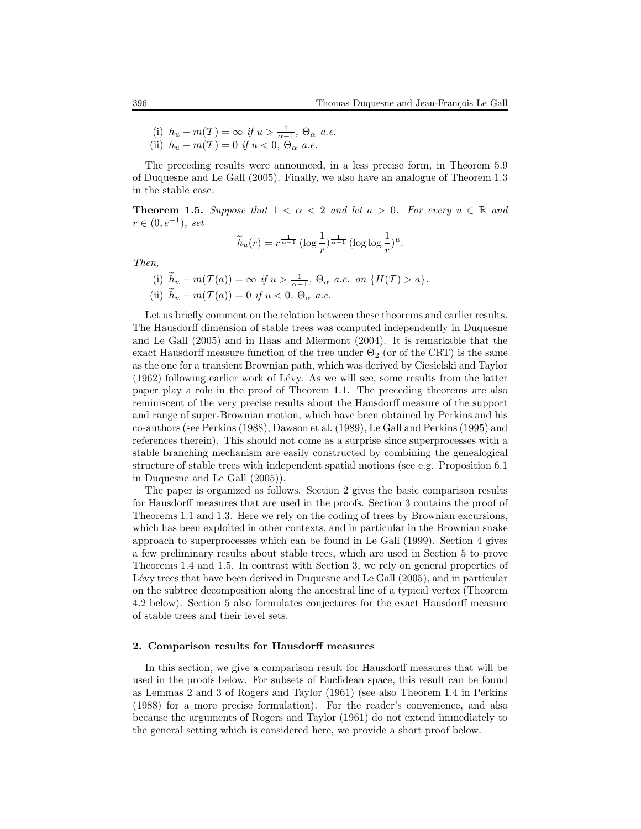(i)  $h_u - m(\mathcal{T}) = \infty$  if  $u > \frac{1}{\alpha - 1}$ ,  $\Theta_{\alpha}$  a.e. (ii)  $h_u - m(\mathcal{T}) = 0$  if  $u < 0$ ,  $\Theta_{\alpha}$  a.e.

The preceding results were announced, in a less precise form, in Theorem 5.9 of Duquesne and Le Gall (2005). Finally, we also have an analogue of Theorem 1.3 in the stable case.

**Theorem 1.5.** Suppose that  $1 < \alpha < 2$  and let  $a > 0$ . For every  $u \in \mathbb{R}$  and  $r \in (0, e^{-1}), \; set$ 

$$
\widetilde{h}_u(r)=r^{\frac{1}{\alpha-1}}\,(\log\frac{1}{r})^{\frac{1}{\alpha-1}}\,(\log\log\frac{1}{r})^u.
$$

Then,

(i)  $\widetilde{h}_u - m(\mathcal{T}(a)) = \infty$  if  $u > \frac{1}{\alpha - 1}$ ,  $\Theta_\alpha$  a.e. on  $\{H(\mathcal{T}) > a\}$ . (ii)  $\widetilde{h}_u - m(\mathcal{T}(a)) = 0$  if  $u < 0$ ,  $\Theta_\alpha$  a.e.

Let us briefly comment on the relation between these theorems and earlier results. The Hausdorff dimension of stable trees was computed independently in Duquesne and Le Gall (2005) and in Haas and Miermont (2004). It is remarkable that the exact Hausdorff measure function of the tree under  $\Theta_2$  (or of the CRT) is the same as the one for a transient Brownian path, which was derived by Ciesielski and Taylor  $(1962)$  following earlier work of Lévy. As we will see, some results from the latter paper play a role in the proof of Theorem 1.1. The preceding theorems are also reminiscent of the very precise results about the Hausdorff measure of the support and range of super-Brownian motion, which have been obtained by Perkins and his co-authors(see Perkins (1988), Dawson et al. (1989), Le Gall and Perkins (1995) and references therein). This should not come as a surprise since superprocesses with a stable branching mechanism are easily constructed by combining the genealogical structure of stable trees with independent spatial motions (see e.g. Proposition 6.1 in Duquesne and Le Gall (2005)).

The paper is organized as follows. Section 2 gives the basic comparison results for Hausdorff measures that are used in the proofs. Section 3 contains the proof of Theorems 1.1 and 1.3. Here we rely on the coding of trees by Brownian excursions, which has been exploited in other contexts, and in particular in the Brownian snake approach to superprocesses which can be found in Le Gall (1999). Section 4 gives a few preliminary results about stable trees, which are used in Section 5 to prove Theorems 1.4 and 1.5. In contrast with Section 3, we rely on general properties of Lévy trees that have been derived in Duquesne and Le Gall  $(2005)$ , and in particular on the subtree decomposition along the ancestral line of a typical vertex (Theorem 4.2 below). Section 5 also formulates conjectures for the exact Hausdorff measure of stable trees and their level sets.

## 2. Comparison results for Hausdorff measures

In this section, we give a comparison result for Hausdorff measures that will be used in the proofs below. For subsets of Euclidean space, this result can be found as Lemmas 2 and 3 of Rogers and Taylor (1961) (see also Theorem 1.4 in Perkins (1988) for a more precise formulation). For the reader's convenience, and also because the arguments of Rogers and Taylor (1961) do not extend immediately to the general setting which is considered here, we provide a short proof below.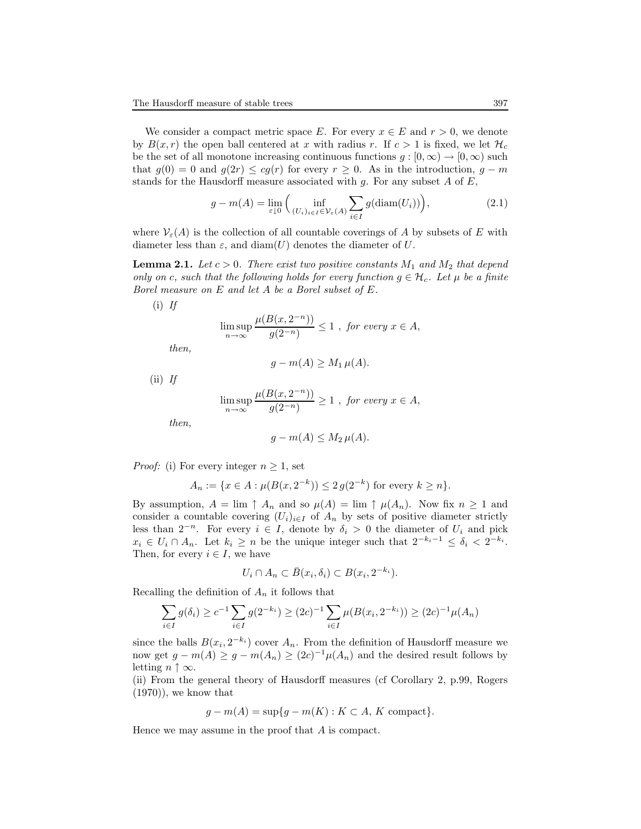We consider a compact metric space E. For every  $x \in E$  and  $r > 0$ , we denote by  $B(x, r)$  the open ball centered at x with radius r. If  $c > 1$  is fixed, we let  $\mathcal{H}_c$ be the set of all monotone increasing continuous functions  $q : [0, \infty) \to [0, \infty)$  such that  $g(0) = 0$  and  $g(2r) \le cg(r)$  for every  $r \ge 0$ . As in the introduction,  $g - m$ stands for the Hausdorff measure associated with g. For any subset  $A$  of  $E$ ,

$$
g - m(A) = \lim_{\varepsilon \downarrow 0} \Big( \inf_{(U_i)_{i \in I} \in \mathcal{V}_{\varepsilon}(A)} \sum_{i \in I} g(\text{diam}(U_i)) \Big), \tag{2.1}
$$

where  $\mathcal{V}_{\varepsilon}(A)$  is the collection of all countable coverings of A by subsets of E with diameter less than  $\varepsilon$ , and diam $(U)$  denotes the diameter of U.

**Lemma 2.1.** Let  $c > 0$ . There exist two positive constants  $M_1$  and  $M_2$  that depend only on c, such that the following holds for every function  $g \in \mathcal{H}_c$ . Let  $\mu$  be a finite Borel measure on E and let A be a Borel subset of E.

 $(i)$  If

$$
\limsup_{n \to \infty} \frac{\mu(B(x, 2^{-n}))}{g(2^{-n})} \le 1
$$
, for every  $x \in A$ ,

then,

$$
g - m(A) \ge M_1 \mu(A).
$$

 $(ii)$  If

$$
\limsup_{n\to\infty} \frac{\mu(B(x,2^{-n}))}{g(2^{-n})}\geq 1\ ,\ for\ every\ x\in A,
$$

then,

$$
g - m(A) \le M_2 \,\mu(A).
$$

*Proof:* (i) For every integer  $n \geq 1$ , set

$$
A_n := \{ x \in A : \mu(B(x, 2^{-k})) \le 2g(2^{-k}) \text{ for every } k \ge n \}.
$$

By assumption,  $A = \lim_{n \to \infty} \uparrow A_n$  and so  $\mu(A) = \lim_{n \to \infty} \uparrow \mu(A_n)$ . Now fix  $n \geq 1$  and consider a countable covering  $(U_i)_{i\in I}$  of  $A_n$  by sets of positive diameter strictly less than  $2^{-n}$ . For every  $i \in I$ , denote by  $\delta_i > 0$  the diameter of  $U_i$  and pick  $x_i \in U_i \cap A_n$ . Let  $k_i \geq n$  be the unique integer such that  $2^{-k_i-1} \leq \delta_i < 2^{-k_i}$ . Then, for every  $i \in I$ , we have

$$
U_i \cap A_n \subset \bar{B}(x_i, \delta_i) \subset B(x_i, 2^{-k_i}).
$$

Recalling the definition of  $A_n$  it follows that

$$
\sum_{i \in I} g(\delta_i) \ge c^{-1} \sum_{i \in I} g(2^{-k_i}) \ge (2c)^{-1} \sum_{i \in I} \mu(B(x_i, 2^{-k_i})) \ge (2c)^{-1} \mu(A_n)
$$

since the balls  $B(x_i, 2^{-k_i})$  cover  $A_n$ . From the definition of Hausdorff measure we now get  $g - m(A) \geq g - m(A_n) \geq (2c)^{-1} \mu(A_n)$  and the desired result follows by letting  $n \uparrow \infty$ .

(ii) From the general theory of Hausdorff measures (cf Corollary 2, p.99, Rogers  $(1970)$ , we know that

$$
g - m(A) = \sup\{g - m(K) : K \subset A, K \text{ compact}\}.
$$

Hence we may assume in the proof that A is compact.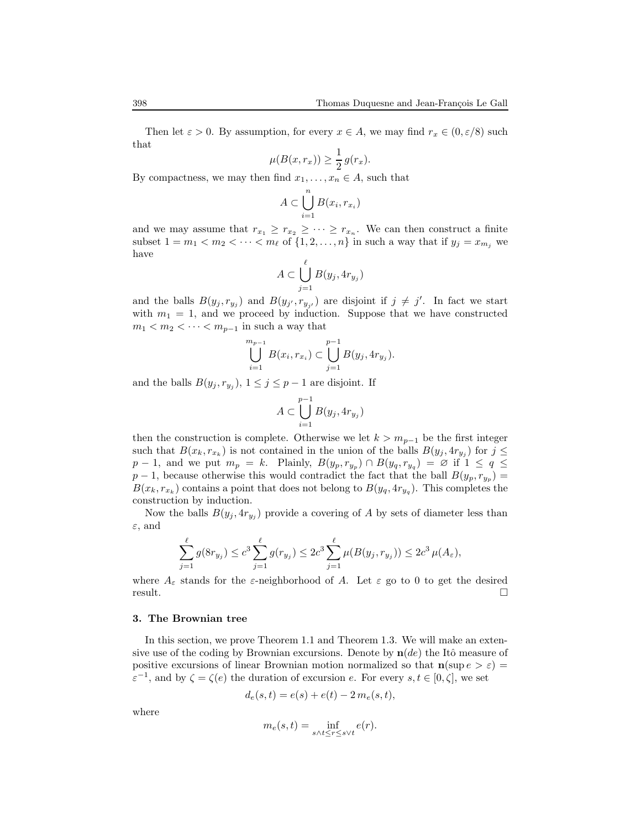Then let  $\varepsilon > 0$ . By assumption, for every  $x \in A$ , we may find  $r_x \in (0, \varepsilon/8)$  such that

$$
\mu(B(x,r_x)) \ge \frac{1}{2} g(r_x).
$$

By compactness, we may then find  $x_1, \ldots, x_n \in A$ , such that

$$
A \subset \bigcup_{i=1}^{n} B(x_i, r_{x_i})
$$

and we may assume that  $r_{x_1} \geq r_{x_2} \geq \cdots \geq r_{x_n}$ . We can then construct a finite subset  $1 = m_1 < m_2 < \cdots < m_\ell$  of  $\{1, 2, \ldots, n\}$  in such a way that if  $y_j = x_{m_j}$  we have

$$
A \subset \bigcup_{j=1}^{\ell} B(y_j, 4r_{y_j})
$$

and the balls  $B(y_j, r_{y_j})$  and  $B(y_{j'}, r_{y_{j'}})$  are disjoint if  $j \neq j'$ . In fact we start with  $m_1 = 1$ , and we proceed by induction. Suppose that we have constructed  $m_1 < m_2 < \cdots < m_{p-1}$  in such a way that

$$
\bigcup_{i=1}^{m_{p-1}} B(x_i, r_{x_i}) \subset \bigcup_{j=1}^{p-1} B(y_j, 4r_{y_j}).
$$

and the balls  $B(y_j, r_{y_j}), 1 \le j \le p-1$  are disjoint. If

$$
A\subset \bigcup_{i=1}^{p-1}B(y_j,4r_{y_j})
$$

then the construction is complete. Otherwise we let  $k > m_{p-1}$  be the first integer such that  $B(x_k, r_{x_k})$  is not contained in the union of the balls  $B(y_j, 4r_{y_j})$  for  $j \leq$  $p-1$ , and we put  $m_p = k$ . Plainly,  $B(y_p, r_{y_p}) \cap B(y_q, r_{y_q}) = \emptyset$  if  $1 \le q \le$  $p-1$ , because otherwise this would contradict the fact that the ball  $B(y_p, r_{y_p}) =$  $B(x_k, r_{x_k})$  contains a point that does not belong to  $B(y_q, 4r_{y_q})$ . This completes the construction by induction.

Now the balls  $B(y_j, 4r_{y_j})$  provide a covering of A by sets of diameter less than  $\varepsilon$ , and

$$
\sum_{j=1}^{\ell} g(8r_{y_j}) \le c^3 \sum_{j=1}^{\ell} g(r_{y_j}) \le 2c^3 \sum_{j=1}^{\ell} \mu(B(y_j, r_{y_j})) \le 2c^3 \mu(A_{\varepsilon}),
$$

where  $A_{\varepsilon}$  stands for the  $\varepsilon$ -neighborhood of A. Let  $\varepsilon$  go to 0 to get the desired  $r$ esult.

## 3. The Brownian tree

In this section, we prove Theorem 1.1 and Theorem 1.3. We will make an extensive use of the coding by Brownian excursions. Denote by  $\mathbf{n}(de)$  the Itô measure of positive excursions of linear Brownian motion normalized so that  $\mathbf{n}(\sup e > \varepsilon) =$  $\varepsilon^{-1}$ , and by  $\zeta = \zeta(e)$  the duration of excursion e. For every  $s, t \in [0, \zeta]$ , we set

$$
d_e(s, t) = e(s) + e(t) - 2m_e(s, t),
$$

where

$$
m_e(s,t) = \inf_{s \wedge t \le r \le s \vee t} e(r).
$$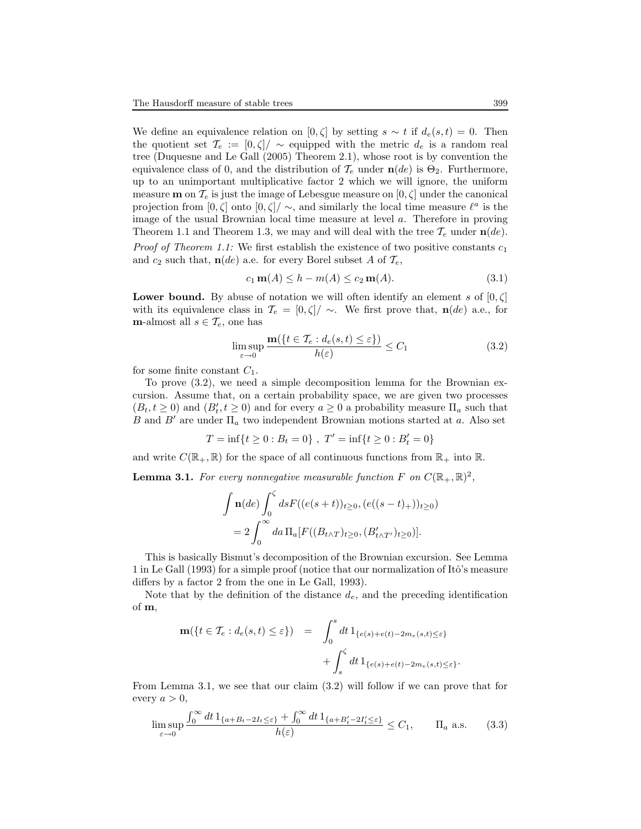We define an equivalence relation on [0,  $\zeta$ ] by setting  $s \sim t$  if  $d_e(s,t) = 0$ . Then the quotient set  $\mathcal{T}_e := [0, \zeta] / \sim$  equipped with the metric  $d_e$  is a random real tree (Duquesne and Le Gall (2005) Theorem 2.1), whose root is by convention the equivalence class of 0, and the distribution of  $\mathcal{T}_e$  under  $\mathbf{n}(de)$  is  $\Theta_2$ . Furthermore, up to an unimportant multiplicative factor 2 which we will ignore, the uniform measure **m** on  $\mathcal{T}_e$  is just the image of Lebesgue measure on  $[0, \zeta]$  under the canonical projection from [0,  $\zeta$ ] onto [0,  $\zeta$ ]/ ~, and similarly the local time measure  $\ell^a$  is the image of the usual Brownian local time measure at level a. Therefore in proving Theorem 1.1 and Theorem 1.3, we may and will deal with the tree  $\mathcal{T}_e$  under  $\mathbf{n}(de)$ . *Proof of Theorem 1.1:* We first establish the existence of two positive constants  $c_1$ and  $c_2$  such that,  $\mathbf{n}(de)$  a.e. for every Borel subset A of  $\mathcal{T}_e$ ,

$$
c_1 \mathbf{m}(A) \le h - m(A) \le c_2 \mathbf{m}(A). \tag{3.1}
$$

**Lower bound.** By abuse of notation we will often identify an element s of  $[0, \zeta]$ with its equivalence class in  $\mathcal{T}_e = [0, \zeta]/\sim$ . We first prove that, n(de) a.e., for **m**-almost all  $s \in \mathcal{T}_e$ , one has

$$
\limsup_{\varepsilon \to 0} \frac{\mathbf{m}(\{t \in \mathcal{T}_e : d_e(s, t) \le \varepsilon\})}{h(\varepsilon)} \le C_1
$$
\n(3.2)

for some finite constant  $C_1$ .

To prove (3.2), we need a simple decomposition lemma for the Brownian excursion. Assume that, on a certain probability space, we are given two processes  $(B_t, t \ge 0)$  and  $(B'_t, t \ge 0)$  and for every  $a \ge 0$  a probability measure  $\Pi_a$  such that B and B' are under  $\Pi_a$  two independent Brownian motions started at a. Also set

$$
T = \inf\{t \ge 0 : B_t = 0\} ,\ T' = \inf\{t \ge 0 : B'_t = 0\}
$$

and write  $C(\mathbb{R}_+, \mathbb{R})$  for the space of all continuous functions from  $\mathbb{R}_+$  into  $\mathbb{R}$ .

**Lemma 3.1.** For every nonnegative measurable function F on  $C(\mathbb{R}_+,\mathbb{R})^2$ ,

$$
\int \mathbf{n}(de) \int_0^{\zeta} ds F((e(s+t))_{t\geq 0}, (e((s-t)_+))_{t\geq 0})
$$
  
=  $2 \int_0^{\infty} da \, \Pi_a[F((B_{t \wedge T})_{t\geq 0}, (B'_{t \wedge T'})_{t\geq 0})].$ 

This is basically Bismut's decomposition of the Brownian excursion. See Lemma 1 in Le Gall (1993) for a simple proof (notice that our normalization of Itô's measure differs by a factor 2 from the one in Le Gall, 1993).

Note that by the definition of the distance  $d_e$ , and the preceding identification of m,

$$
\mathbf{m}(\lbrace t \in \mathcal{T}_e : d_e(s, t) \le \varepsilon \rbrace) = \int_0^s dt \, 1_{\lbrace e(s) + e(t) - 2m_e(s, t) \le \varepsilon \rbrace} \n+ \int_s^{\zeta} dt \, 1_{\lbrace e(s) + e(t) - 2m_e(s, t) \le \varepsilon \rbrace}.
$$

From Lemma 3.1, we see that our claim (3.2) will follow if we can prove that for every  $a > 0$ ,

$$
\limsup_{\varepsilon \to 0} \frac{\int_0^\infty dt \, 1_{\{a+B_t - 2I_t \le \varepsilon\}} + \int_0^\infty dt \, 1_{\{a+B'_t - 2I'_t \le \varepsilon\}}}{h(\varepsilon)} \le C_1, \qquad \Pi_a \text{ a.s.} \tag{3.3}
$$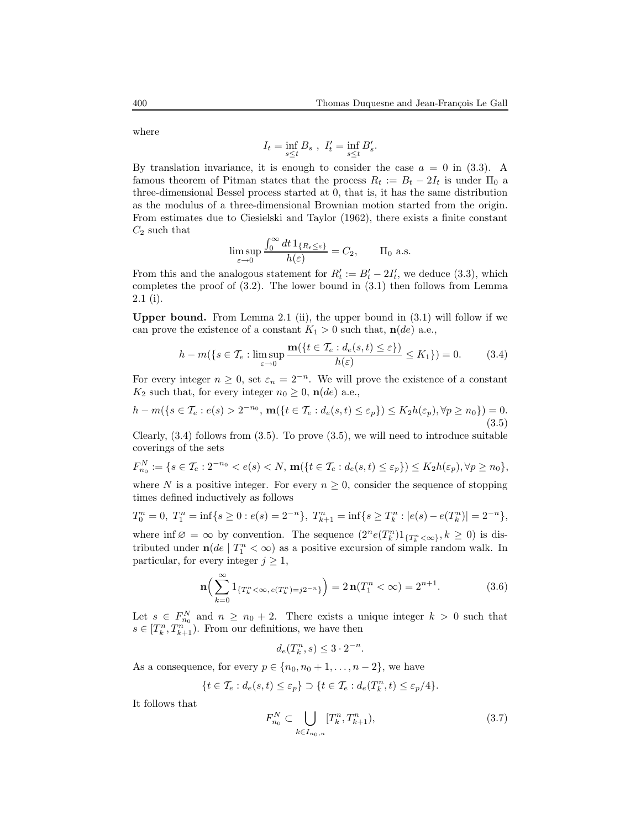where

$$
I_t = \inf_{s \le t} B_s ,\ I'_t = \inf_{s \le t} B'_s.
$$

By translation invariance, it is enough to consider the case  $a = 0$  in (3.3). A famous theorem of Pitman states that the process  $R_t := B_t - 2I_t$  is under  $\Pi_0$  a three-dimensional Bessel process started at 0, that is, it has the same distribution as the modulus of a three-dimensional Brownian motion started from the origin. From estimates due to Ciesielski and Taylor (1962), there exists a finite constant  $C_2$  such that

$$
\limsup_{\varepsilon \to 0} \frac{\int_0^\infty dt \, 1_{\{R_t \le \varepsilon\}}}{h(\varepsilon)} = C_2, \qquad \Pi_0 \text{ a.s.}
$$

From this and the analogous statement for  $R'_t := B'_t - 2I'_t$ , we deduce (3.3), which completes the proof of  $(3.2)$ . The lower bound in  $(3.1)$  then follows from Lemma 2.1 (i).

Upper bound. From Lemma 2.1 (ii), the upper bound in  $(3.1)$  will follow if we can prove the existence of a constant  $K_1 > 0$  such that,  $n(de)$  a.e.,

$$
h - m(\lbrace s \in \mathcal{T}_e : \limsup_{\varepsilon \to 0} \frac{\mathbf{m}(\lbrace t \in \mathcal{T}_e : d_e(s, t) \le \varepsilon \rbrace)}{h(\varepsilon)} \le K_1 \rbrace) = 0. \tag{3.4}
$$

For every integer  $n \geq 0$ , set  $\varepsilon_n = 2^{-n}$ . We will prove the existence of a constant  $K_2$  such that, for every integer  $n_0 \geq 0$ ,  $\mathbf{n}(de)$  a.e.,

$$
h - m({s \in \mathcal{T}_e : e(s) > 2^{-n_0}, \, \mathbf{m}({t \in \mathcal{T}_e : d_e(s, t) \le \varepsilon_p}) \le K_2 h(\varepsilon_p), \forall p \ge n_0}) = 0. \tag{3.5}
$$

Clearly,  $(3.4)$  follows from  $(3.5)$ . To prove  $(3.5)$ , we will need to introduce suitable coverings of the sets

$$
F_{n_0}^N := \{ s \in \mathcal{T}_e : 2^{-n_0} < e(s) < N, \, \mathbf{m}(\{ t \in \mathcal{T}_e : d_e(s, t) \le \varepsilon_p \}) \le K_2 h(\varepsilon_p), \forall p \ge n_0 \},
$$
\nwhere  $N$  is a positive integer. For every  $n \ge 0$ , consider the sequence of stopping

times defined inductively as follows

$$
T_0^n = 0, \ T_1^n = \inf\{s \ge 0 : e(s) = 2^{-n}\}, \ T_{k+1}^n = \inf\{s \ge T_k^n : |e(s) - e(T_k^n)| = 2^{-n}\},
$$

where inf  $\varnothing = \infty$  by convention. The sequence  $(2^n e(T_k^n) 1_{\{T_k^n < \infty\}}, k \ge 0)$  is distributed under  $\mathbf{n}(de \mid T_1^n < \infty)$  as a positive excursion of simple random walk. In particular, for every integer  $j \geq 1$ ,

$$
\mathbf{n}\Big(\sum_{k=0}^{\infty} 1_{\{T_k^n < \infty, \, e(T_k^n) = j2^{-n}\}}\Big) = 2\,\mathbf{n}(T_1^n < \infty) = 2^{n+1}.\tag{3.6}
$$

Let  $s \in F_{n_0}^N$  and  $n \geq n_0 + 2$ . There exists a unique integer  $k > 0$  such that  $s \in [T_k^n, T_{k+1}^n)$ . From our definitions, we have then

$$
d_e(T_k^n, s) \leq 3 \cdot 2^{-n}.
$$

As a consequence, for every  $p \in \{n_0, n_0 + 1, \ldots, n-2\}$ , we have

$$
\{t \in \mathcal{T}_e : d_e(s, t) \le \varepsilon_p\} \supset \{t \in \mathcal{T}_e : d_e(T_k^n, t) \le \varepsilon_p/4\}.
$$

It follows that

$$
F_{n_0}^N \subset \bigcup_{k \in I_{n_0,n}} [T_k^n, T_{k+1}^n), \tag{3.7}
$$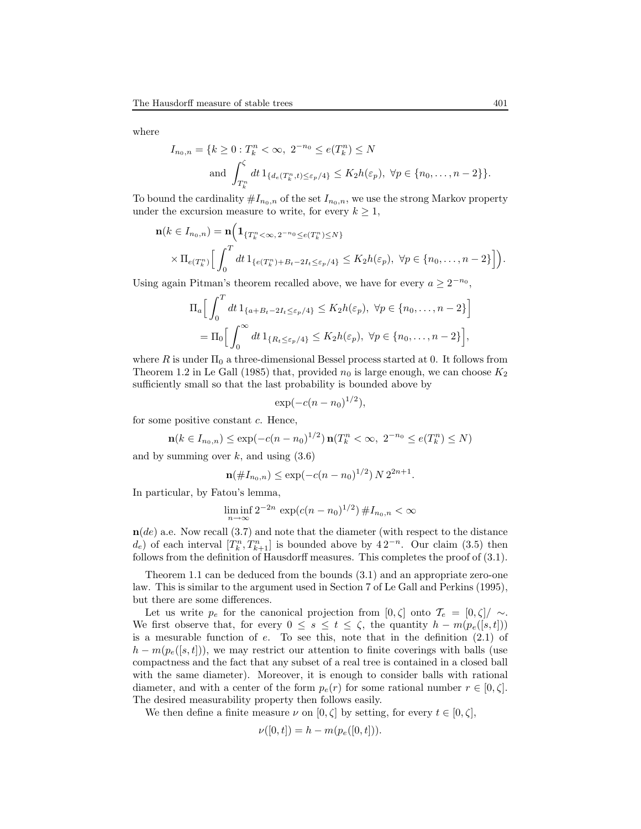where

$$
I_{n_0,n} = \{k \ge 0 : T_k^n < \infty, \ 2^{-n_0} \le e(T_k^n) \le N
$$
  
and 
$$
\int_{T_k^n}^{\zeta} dt \, 1_{\{d_e(T_k^n, t) \le \varepsilon_p/4\}} \le K_2 h(\varepsilon_p), \ \forall p \in \{n_0, \dots, n-2\} \}.
$$

To bound the cardinality  $#I_{n_0,n}$  of the set  $I_{n_0,n}$ , we use the strong Markov property under the excursion measure to write, for every  $k \geq 1$ ,

$$
\mathbf{n}(k \in I_{n_0,n}) = \mathbf{n}\Big(\mathbf{1}_{\{T_k^n < \infty, 2^{-n_0} \le e(T_k^n) \le N\}} \times \Pi_{e(T_k^n)}\Big[\int_0^T dt \, \mathbf{1}_{\{e(T_k^n) + B_t - 2I_t \le \varepsilon_p/4\}} \le K_2 h(\varepsilon_p), \ \forall p \in \{n_0, \dots, n-2\}\Big]\Big).
$$

Using again Pitman's theorem recalled above, we have for every  $a \geq 2^{-n_0}$ ,

$$
\Pi_a \Big[ \int_0^T dt \, 1_{\{a+B_t-2I_t \le \varepsilon_p/4\}} \le K_2 h(\varepsilon_p), \ \forall p \in \{n_0, \dots, n-2\} \Big]
$$
  
=  $\Pi_0 \Big[ \int_0^\infty dt \, 1_{\{R_t \le \varepsilon_p/4\}} \le K_2 h(\varepsilon_p), \ \forall p \in \{n_0, \dots, n-2\} \Big],$ 

where R is under  $\Pi_0$  a three-dimensional Bessel process started at 0. It follows from Theorem 1.2 in Le Gall (1985) that, provided  $n_0$  is large enough, we can choose  $K_2$ sufficiently small so that the last probability is bounded above by

$$
\exp(-c(n - n_0)^{1/2}),
$$

for some positive constant c. Hence,

$$
\mathbf{n}(k \in I_{n_0,n}) \le \exp(-c(n - n_0)^{1/2}) \mathbf{n}(T_k^n < \infty, \ 2^{-n_0} \le e(T_k^n) \le N)
$$

and by summing over  $k$ , and using  $(3.6)$ 

$$
\mathbf{n}(\#I_{n_0,n}) \le \exp(-c(n-n_0)^{1/2}) N 2^{2n+1}.
$$

In particular, by Fatou's lemma,

$$
\liminf_{n \to \infty} 2^{-2n} \exp(c(n - n_0)^{1/2}) \, \#I_{n_0, n} < \infty
$$

 $n(de)$  a.e. Now recall  $(3.7)$  and note that the diameter (with respect to the distance  $(d_e)$  of each interval  $[T_k^n, T_{k+1}^n]$  is bounded above by  $42^{-n}$ . Our claim (3.5) then follows from the definition of Hausdorff measures. This completes the proof of (3.1).

Theorem 1.1 can be deduced from the bounds (3.1) and an appropriate zero-one law. This is similar to the argument used in Section 7 of Le Gall and Perkins (1995), but there are some differences.

Let us write  $p_e$  for the canonical projection from  $[0,\zeta]$  onto  $\mathcal{T}_e = [0,\zeta]/\sim$ . We first observe that, for every  $0 \leq s \leq t \leq \zeta$ , the quantity  $h - m(p_e([s,t]))$ is a mesurable function of  $e$ . To see this, note that in the definition  $(2.1)$  of  $h - m(p_e([s,t]))$ , we may restrict our attention to finite coverings with balls (use compactness and the fact that any subset of a real tree is contained in a closed ball with the same diameter). Moreover, it is enough to consider balls with rational diameter, and with a center of the form  $p_e(r)$  for some rational number  $r \in [0,\zeta]$ . The desired measurability property then follows easily.

We then define a finite measure  $\nu$  on  $[0, \zeta]$  by setting, for every  $t \in [0, \zeta]$ ,

$$
\nu([0,t]) = h - m(p_e([0,t])).
$$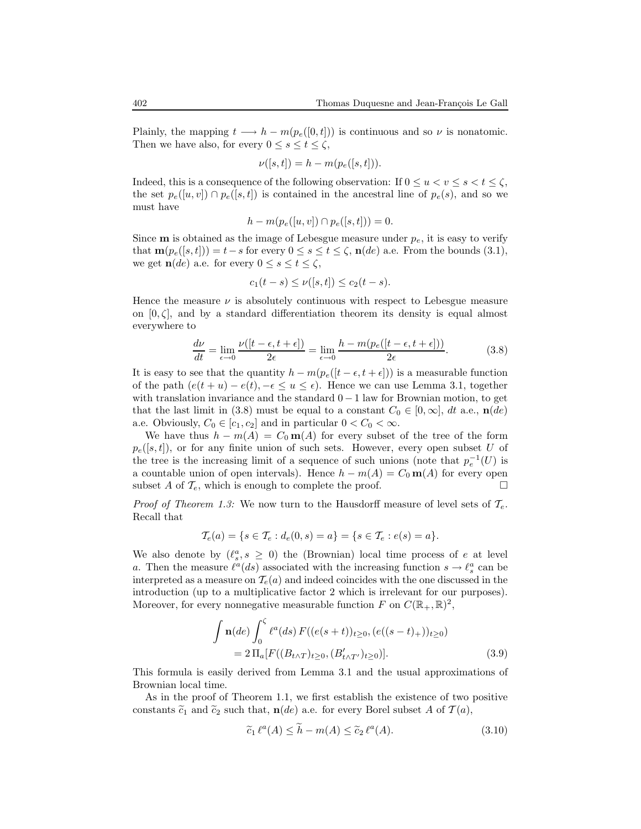Plainly, the mapping  $t \longrightarrow h - m(p_e([0,t]))$  is continuous and so  $\nu$  is nonatomic. Then we have also, for every  $0 \leq s \leq t \leq \zeta$ ,

$$
\nu([s,t]) = h - m(p_e([s,t])).
$$

Indeed, this is a consequence of the following observation: If  $0 \le u < v \le s < t \le \zeta$ , the set  $p_e([u, v]) \cap p_e([s, t])$  is contained in the ancestral line of  $p_e(s)$ , and so we must have

$$
h - m(p_e([u, v]) \cap p_e([s, t])) = 0.
$$

Since **m** is obtained as the image of Lebesgue measure under  $p_e$ , it is easy to verify that  $\mathbf{m}(p_e([s,t])) = t-s$  for every  $0 \leq s \leq t \leq \zeta$ ,  $\mathbf{n}(de)$  a.e. From the bounds (3.1), we get  $\mathbf{n}(de)$  a.e. for every  $0 \leq s \leq t \leq \zeta$ ,

$$
c_1(t - s) \le \nu([s, t]) \le c_2(t - s).
$$

Hence the measure  $\nu$  is absolutely continuous with respect to Lebesgue measure on  $[0, \zeta]$ , and by a standard differentiation theorem its density is equal almost everywhere to

$$
\frac{d\nu}{dt} = \lim_{\epsilon \to 0} \frac{\nu([t - \epsilon, t + \epsilon])}{2\epsilon} = \lim_{\epsilon \to 0} \frac{h - m(p_\epsilon([t - \epsilon, t + \epsilon]))}{2\epsilon}.\tag{3.8}
$$

It is easy to see that the quantity  $h - m(p_e([t - \epsilon, t + \epsilon]))$  is a measurable function of the path  $(e(t + u) - e(t), -\epsilon \le u \le \epsilon)$ . Hence we can use Lemma 3.1, together with translation invariance and the standard  $0 - 1$  law for Brownian motion, to get that the last limit in (3.8) must be equal to a constant  $C_0 \in [0,\infty]$ , dt a.e.,  $\mathbf{n}(de)$ a.e. Obviously,  $C_0 \in [c_1, c_2]$  and in particular  $0 < C_0 < \infty$ .

We have thus  $h - m(A) = C_0 \mathbf{m}(A)$  for every subset of the tree of the form  $p_e([s,t])$ , or for any finite union of such sets. However, every open subset U of the tree is the increasing limit of a sequence of such unions (note that  $p_e^{-1}(U)$  is a countable union of open intervals). Hence  $h - m(A) = C_0 \mathbf{m}(A)$  for every open subset A of  $\mathcal{T}_e$ , which is enough to complete the proof.

*Proof of Theorem 1.3:* We now turn to the Hausdorff measure of level sets of  $\mathcal{T}_e$ . Recall that

$$
\mathcal{T}_e(a) = \{ s \in \mathcal{T}_e : d_e(0, s) = a \} = \{ s \in \mathcal{T}_e : e(s) = a \}.
$$

We also denote by  $(\ell_s^a, s \geq 0)$  the (Brownian) local time process of e at level a. Then the measure  $\ell^a(ds)$  associated with the increasing function  $s \to \ell_s^a$  can be interpreted as a measure on  $\mathcal{T}_e(a)$  and indeed coincides with the one discussed in the introduction (up to a multiplicative factor 2 which is irrelevant for our purposes). Moreover, for every nonnegative measurable function F on  $C(\mathbb{R}_+,\mathbb{R})^2$ ,

$$
\int \mathbf{n}(de) \int_0^{\zeta} \ell^a(ds) F((e(s+t))_{t\geq 0}, (e((s-t)_+))_{t\geq 0})
$$
  
=  $2 \Pi_a[F((B_{t \wedge T})_{t\geq 0}, (B'_{t \wedge T'})_{t\geq 0})].$  (3.9)

This formula is easily derived from Lemma 3.1 and the usual approximations of Brownian local time.

As in the proof of Theorem 1.1, we first establish the existence of two positive constants  $\tilde{c}_1$  and  $\tilde{c}_2$  such that,  $n(de)$  a.e. for every Borel subset A of  $\mathcal{T}(a)$ ,

$$
\widetilde{c}_1 \ell^a(A) \le \widetilde{h} - m(A) \le \widetilde{c}_2 \ell^a(A). \tag{3.10}
$$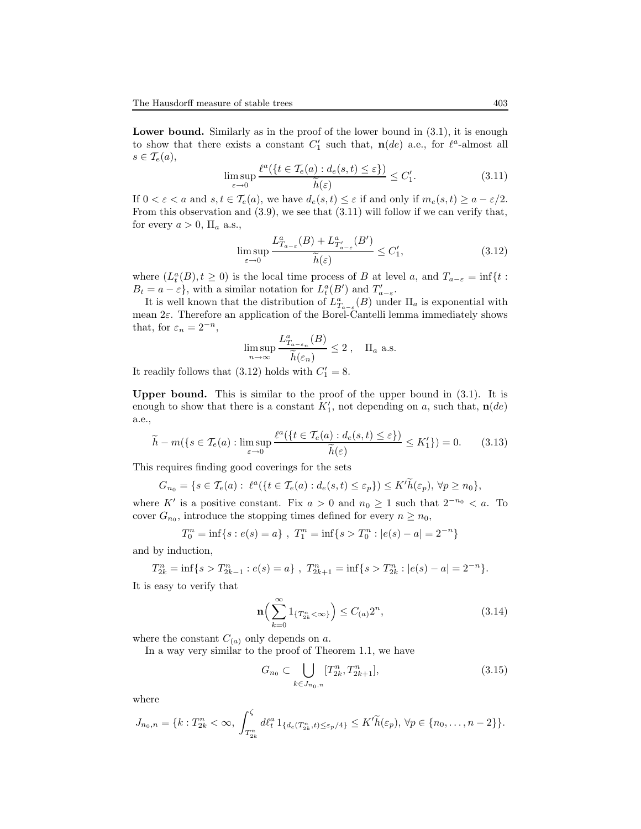**Lower bound.** Similarly as in the proof of the lower bound in  $(3.1)$ , it is enough to show that there exists a constant  $C'_1$  such that,  $\mathbf{n}(de)$  a.e., for  $\ell^a$ -almost all  $s \in \mathcal{T}_e(a),$ 

$$
\limsup_{\varepsilon \to 0} \frac{\ell^a(\{t \in \mathcal{T}_e(a) : d_e(s, t) \le \varepsilon\})}{\widetilde{h}(\varepsilon)} \le C_1'.\tag{3.11}
$$

If  $0 < \varepsilon < a$  and  $s, t \in \mathcal{T}_e(a)$ , we have  $d_e(s,t) \leq \varepsilon$  if and only if  $m_e(s,t) \geq a - \varepsilon/2$ . From this observation and (3.9), we see that (3.11) will follow if we can verify that, for every  $a > 0$ ,  $\Pi_a$  a.s.,

$$
\limsup_{\varepsilon \to 0} \frac{L_{T_{a-\varepsilon}}^a(B) + L_{T_{a-\varepsilon}}^a(B')}{\widetilde{h}(\varepsilon)} \le C_1',\tag{3.12}
$$

where  $(L_t^a(B), t \ge 0)$  is the local time process of B at level a, and  $T_{a-\varepsilon} = \inf\{t :$  $B_t = a - \varepsilon$ , with a similar notation for  $L_t^a(B')$  and  $T'_{a-\varepsilon}$ .

It is well known that the distribution of  $L_{T_{a-\varepsilon}}^{a}(B)$  under  $\Pi_{a}$  is exponential with mean  $2\varepsilon$ . Therefore an application of the Borel-Cantelli lemma immediately shows that, for  $\varepsilon_n = 2^{-n}$ ,

$$
\limsup_{n \to \infty} \frac{L_{T_{a-\varepsilon_n}}^a(B)}{\widetilde{h}(\varepsilon_n)} \le 2 , \quad \Pi_a \text{ a.s.}
$$

It readily follows that  $(3.12)$  holds with  $C'_1 = 8$ .

Upper bound. This is similar to the proof of the upper bound in  $(3.1)$ . It is enough to show that there is a constant  $K'_1$ , not depending on a, such that,  $\mathbf{n}(de)$ a.e.,

$$
\widetilde{h} - m(\lbrace s \in \mathcal{T}_e(a) : \limsup_{\varepsilon \to 0} \frac{\ell^a(\lbrace t \in \mathcal{T}_e(a) : d_e(s, t) \le \varepsilon \rbrace)}{\widetilde{h}(\varepsilon)} \le K_1' \rbrace) = 0. \tag{3.13}
$$

This requires finding good coverings for the sets

$$
G_{n_0} = \{ s \in \mathcal{T}_e(a) : \ \ell^a(\{ t \in \mathcal{T}_e(a) : d_e(s, t) \le \varepsilon_p \}) \le K'\widetilde{h}(\varepsilon_p), \ \forall p \ge n_0 \},
$$

where K' is a positive constant. Fix  $a > 0$  and  $n_0 \ge 1$  such that  $2^{-n_0} < a$ . To cover  $G_{n_0}$ , introduce the stopping times defined for every  $n \geq n_0$ ,

$$
T_0^n = \inf\{s : e(s) = a\}, \ T_1^n = \inf\{s > T_0^n : |e(s) - a| = 2^{-n}\}
$$

and by induction,

$$
T_{2k}^{n} = \inf\{s > T_{2k-1}^{n} : e(s) = a\}, \ T_{2k+1}^{n} = \inf\{s > T_{2k}^{n} : |e(s) - a| = 2^{-n}\}.
$$

It is easy to verify that

$$
\mathbf{n}\left(\sum_{k=0}^{\infty}1_{\{T_{2k}^n<\infty\}}\right)\leq C_{(a)}2^n,\tag{3.14}
$$

where the constant  $C_{(a)}$  only depends on a.

In a way very similar to the proof of Theorem 1.1, we have

$$
G_{n_0} \subset \bigcup_{k \in J_{n_0,n}} [T_{2k}^n, T_{2k+1}^n],\tag{3.15}
$$

where

$$
J_{n_0,n} = \{k : T_{2k}^n < \infty, \int_{T_{2k}^n}^{\zeta} d\ell_t^a 1_{\{d_e(T_{2k}^n, t) \leq \varepsilon_p/4\}} \leq K'\widetilde{h}(\varepsilon_p), \forall p \in \{n_0, \ldots, n-2\}\}.
$$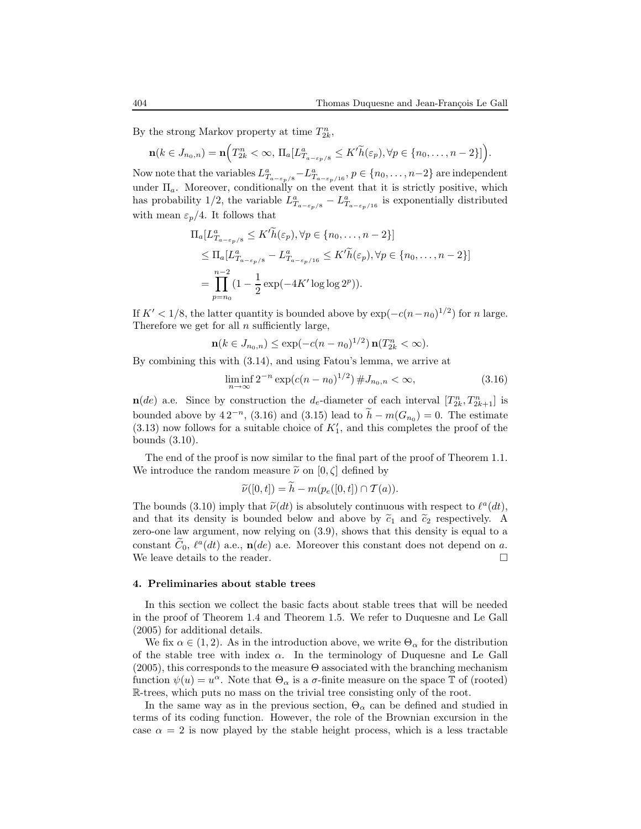By the strong Markov property at time  $T_{2k}^n$ ,

$$
\mathbf{n}(k \in J_{n_0,n}) = \mathbf{n}\Big(T_{2k}^n < \infty, \, \Pi_a[L_{T_{a-\varepsilon_p}/8}^a \leq K'\widetilde{h}(\varepsilon_p), \forall p \in \{n_0,\ldots,n-2\}]\Big).
$$

Now note that the variables  $L_{T_{a-\varepsilon_p/8}}^a-L_{T_{a-\varepsilon_p/16}}^a, p \in \{n_0,\ldots,n-2\}$  are independent under  $\Pi_a$ . Moreover, conditionally on the event that it is strictly positive, which has probability 1/2, the variable  $L_{T_{a-\varepsilon_p/8}}^a - L_{T_{a-\varepsilon_p/16}}^a$  is exponentially distributed with mean  $\varepsilon_p/4$ . It follows that

$$
\Pi_a[L_{T_{a-\varepsilon_p/8}}^a \leq K'\tilde{h}(\varepsilon_p), \forall p \in \{n_0, \dots, n-2\}]
$$
\n
$$
\leq \Pi_a[L_{T_{a-\varepsilon_p/8}}^a - L_{T_{a-\varepsilon_p/16}}^a \leq K'\tilde{h}(\varepsilon_p), \forall p \in \{n_0, \dots, n-2\}]
$$
\n
$$
= \prod_{p=n_0}^{n-2} \left(1 - \frac{1}{2} \exp(-4K'\log\log 2^p)\right).
$$

If  $K' < 1/8$ , the latter quantity is bounded above by  $\exp(-c(n-n_0)^{1/2})$  for n large. Therefore we get for all  $n$  sufficiently large,

$$
\mathbf{n}(k \in J_{n_0,n}) \le \exp(-c(n - n_0)^{1/2}) \mathbf{n}(T_{2k}^n < \infty).
$$

By combining this with (3.14), and using Fatou's lemma, we arrive at

$$
\liminf_{n \to \infty} 2^{-n} \exp(c(n - n_0)^{1/2}) \, \# J_{n_0, n} < \infty,\tag{3.16}
$$

 $\mathbf{n}(de)$  a.e. Since by construction the  $d_e$ -diameter of each interval  $[T_{2k}^n, T_{2k+1}^n]$  is bounded above by  $42^{-n}$ , (3.16) and (3.15) lead to  $h - m(G_{n_0}) = 0$ . The estimate  $(3.13)$  now follows for a suitable choice of  $K'_1$ , and this completes the proof of the bounds (3.10).

The end of the proof is now similar to the final part of the proof of Theorem 1.1. We introduce the random measure  $\tilde{\nu}$  on  $[0, \zeta]$  defined by

$$
\widetilde{\nu}([0,t]) = h - m(p_e([0,t]) \cap \mathcal{T}(a)).
$$

The bounds (3.10) imply that  $\tilde{\nu}(dt)$  is absolutely continuous with respect to  $\ell^a(dt)$ , and that its density is bounded below and above by  $\tilde{c}_1$  and  $\tilde{c}_2$  respectively. A zero-one law argument, now relying on (3.9), shows that this density is equal to a constant  $C_0$ ,  $\ell^a(dt)$  a.e.,  $\mathbf{n}(de)$  a.e. Moreover this constant does not depend on a. We leave details to the reader.  $\Box$ 

## 4. Preliminaries about stable trees

In this section we collect the basic facts about stable trees that will be needed in the proof of Theorem 1.4 and Theorem 1.5. We refer to Duquesne and Le Gall (2005) for additional details.

We fix  $\alpha \in (1, 2)$ . As in the introduction above, we write  $\Theta_{\alpha}$  for the distribution of the stable tree with index  $\alpha$ . In the terminology of Duquesne and Le Gall  $(2005)$ , this corresponds to the measure  $\Theta$  associated with the branching mechanism function  $\psi(u) = u^{\alpha}$ . Note that  $\Theta_{\alpha}$  is a  $\sigma$ -finite measure on the space  $\mathbb T$  of (rooted) R-trees, which puts no mass on the trivial tree consisting only of the root.

In the same way as in the previous section,  $\Theta_{\alpha}$  can be defined and studied in terms of its coding function. However, the role of the Brownian excursion in the case  $\alpha = 2$  is now played by the stable height process, which is a less tractable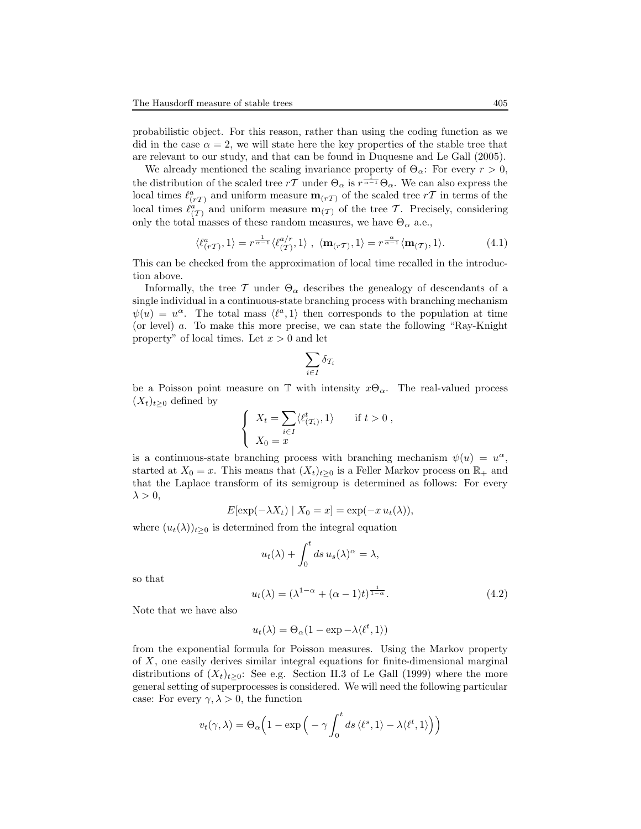probabilistic object. For this reason, rather than using the coding function as we did in the case  $\alpha = 2$ , we will state here the key properties of the stable tree that are relevant to our study, and that can be found in Duquesne and Le Gall (2005).

We already mentioned the scaling invariance property of  $\Theta_{\alpha}$ : For every  $r > 0$ , the distribution of the scaled tree  $r\mathcal{T}$  under  $\Theta_{\alpha}$  is  $r^{\frac{1}{\alpha-1}}\Theta_{\alpha}$ . We can also express the local times  $\ell_{(r\mathcal{T})}^a$  and uniform measure  $\mathbf{m}_{(r\mathcal{T})}$  of the scaled tree  $r\mathcal{T}$  in terms of the local times  $\ell_{(\mathcal{T})}^a$  and uniform measure  $\mathbf{m}_{(\mathcal{T})}$  of the tree T. Precisely, considering only the total masses of these random measures, we have  $\Theta_{\alpha}$  a.e.,

$$
\langle \ell_{(r\mathcal{T})}^{a}, 1 \rangle = r^{\frac{1}{\alpha - 1}} \langle \ell_{(\mathcal{T})}^{a/r}, 1 \rangle , \langle \mathbf{m}_{(r\mathcal{T})}, 1 \rangle = r^{\frac{\alpha}{\alpha - 1}} \langle \mathbf{m}_{(\mathcal{T})}, 1 \rangle.
$$
 (4.1)

This can be checked from the approximation of local time recalled in the introduction above.

Informally, the tree T under  $\Theta_{\alpha}$  describes the genealogy of descendants of a single individual in a continuous-state branching process with branching mechanism  $\psi(u) = u^{\alpha}$ . The total mass  $\langle \ell^{\alpha}, 1 \rangle$  then corresponds to the population at time (or level) a. To make this more precise, we can state the following "Ray-Knight property" of local times. Let  $x > 0$  and let

$$
\sum_{i\in I}\delta_{\mathcal{T}_i}
$$

be a Poisson point measure on T with intensity  $x\Theta_{\alpha}$ . The real-valued process  $(X_t)_{t\geq 0}$  defined by

$$
\begin{cases}\nX_t = \sum_{i \in I} \langle \ell^t_{(\mathcal{T}_i)}, 1 \rangle & \text{if } t > 0, \\
X_0 = x\n\end{cases}
$$

is a continuous-state branching process with branching mechanism  $\psi(u) = u^{\alpha}$ , started at  $X_0 = x$ . This means that  $(X_t)_{t\geq 0}$  is a Feller Markov process on  $\mathbb{R}_+$  and that the Laplace transform of its semigroup is determined as follows: For every  $\lambda > 0$ ,

$$
E[\exp(-\lambda X_t) | X_0 = x] = \exp(-x u_t(\lambda)),
$$

where  $(u_t(\lambda))_{t>0}$  is determined from the integral equation

$$
u_t(\lambda) + \int_0^t ds \, u_s(\lambda)^\alpha = \lambda,
$$

so that

$$
u_t(\lambda) = (\lambda^{1-\alpha} + (\alpha - 1)t)^{\frac{1}{1-\alpha}}.
$$
\n(4.2)

Note that we have also

$$
u_t(\lambda) = \Theta_\alpha (1 - \exp{-\lambda \langle \ell^t, 1 \rangle})
$$

from the exponential formula for Poisson measures. Using the Markov property of X, one easily derives similar integral equations for finite-dimensional marginal distributions of  $(X_t)_{t>0}$ : See e.g. Section II.3 of Le Gall (1999) where the more general setting of superprocesses is considered. We will need the following particular case: For every  $\gamma, \lambda > 0$ , the function

$$
v_t(\gamma, \lambda) = \Theta_\alpha \Big( 1 - \exp \Big( -\gamma \int_0^t ds \, \langle \ell^s, 1 \rangle - \lambda \langle \ell^t, 1 \rangle \Big) \Big)
$$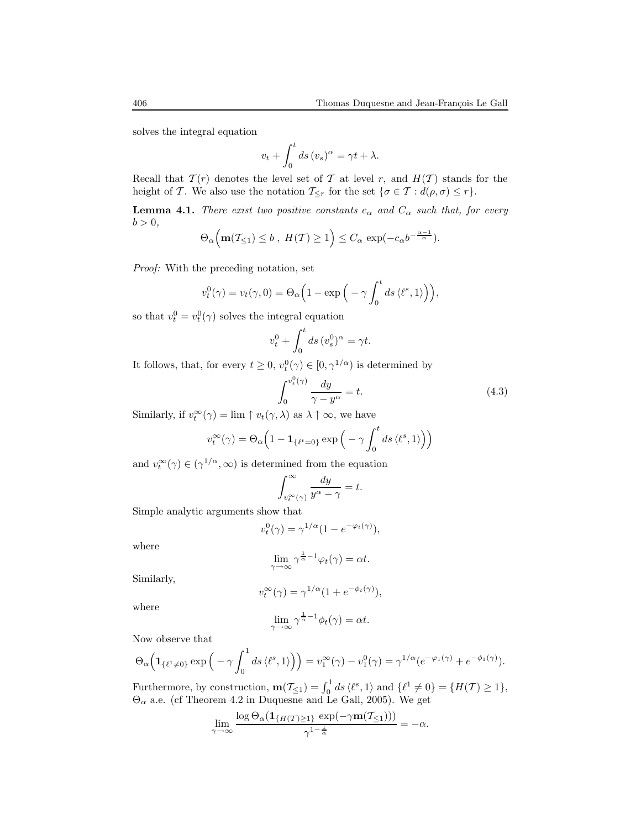solves the integral equation

$$
v_t + \int_0^t ds \,(v_s)^{\alpha} = \gamma t + \lambda.
$$

Recall that  $\mathcal{T}(r)$  denotes the level set of  $\mathcal T$  at level r, and  $H(\mathcal T)$  stands for the height of T. We also use the notation  $\mathcal{T}_{\leq r}$  for the set  $\{\sigma \in \mathcal{T} : d(\rho, \sigma) \leq r\}.$ 

**Lemma 4.1.** There exist two positive constants  $c_{\alpha}$  and  $C_{\alpha}$  such that, for every  $b > 0$ ,

$$
\Theta_{\alpha}\Big(\mathbf{m}(\mathcal{T}_{\leq 1}) \leq b \ , \ H(\mathcal{T}) \geq 1\Big) \leq C_{\alpha} \, \exp(-c_{\alpha} b^{-\frac{\alpha-1}{\alpha}}).
$$

Proof: With the preceding notation, set

$$
v_t^0(\gamma) = v_t(\gamma, 0) = \Theta_\alpha \Big( 1 - \exp \Big( -\gamma \int_0^t ds \, \langle \ell^s, 1 \rangle \Big) \Big),
$$

so that  $v_t^0 = v_t^0(\gamma)$  solves the integral equation

$$
v_t^0 + \int_0^t ds \, (v_s^0)^\alpha = \gamma t.
$$

It follows, that, for every  $t \geq 0$ ,  $v_t^0(\gamma) \in [0, \gamma^{1/\alpha})$  is determined by

$$
\int_0^{v_t^0(\gamma)} \frac{dy}{\gamma - y^\alpha} = t.
$$
\n(4.3)

Similarly, if  $v_t^{\infty}(\gamma) = \lim_{\varepsilon \to 0} \uparrow v_t(\gamma, \lambda)$  as  $\lambda \uparrow \infty$ , we have

$$
v_t^{\infty}(\gamma) = \Theta_{\alpha} \left( 1 - \mathbf{1}_{\{\ell^t = 0\}} \exp \left( -\gamma \int_0^t ds \, \langle \ell^s, 1 \rangle \right) \right)
$$

and  $v_t^{\infty}(\gamma) \in (\gamma^{1/\alpha}, \infty)$  is determined from the equation

$$
\int_{v_t^{\infty}(\gamma)}^{\infty} \frac{dy}{y^{\alpha} - \gamma} = t.
$$

Simple analytic arguments show that

$$
v_t^0(\gamma) = \gamma^{1/\alpha} (1 - e^{-\varphi_t(\gamma)}),
$$

where

$$
\lim_{\gamma \to \infty} \gamma^{\frac{1}{\alpha} - 1} \varphi_t(\gamma) = \alpha t.
$$

Similarly,

$$
v_t^{\infty}(\gamma) = \gamma^{1/\alpha} (1 + e^{-\phi_t(\gamma)}),
$$

where

$$
\lim_{\gamma \to \infty} \gamma^{\frac{1}{\alpha} - 1} \phi_t(\gamma) = \alpha t.
$$

Now observe that

$$
\Theta_{\alpha}\Big(\mathbf{1}_{\{\ell^1\neq 0\}}\exp\Big(-\gamma\int_0^1 ds\,\langle \ell^s,1\rangle\Big)\Big)=v_1^{\infty}(\gamma)-v_1^0(\gamma)=\gamma^{1/\alpha}(e^{-\varphi_1(\gamma)}+e^{-\phi_1(\gamma)}).
$$

Furthermore, by construction,  $\mathbf{m}(\mathcal{T}_{\leq 1}) = \int_0^1 ds \, \langle \ell^s, 1 \rangle$  and  $\{ \ell^1 \neq 0 \} = \{ H(\mathcal{T}) \geq 1 \},$  $\Theta_{\alpha}$  a.e. (cf Theorem 4.2 in Duquesne and Le Gall, 2005). We get

$$
\lim_{\gamma \to \infty} \frac{\log \Theta_{\alpha}(\mathbf{1}_{\{H(\mathcal{T}) \geq 1\}} \exp(-\gamma \mathbf{m}(\mathcal{T}_{\leq 1})))}{\gamma^{1-\frac{1}{\alpha}}} = -\alpha.
$$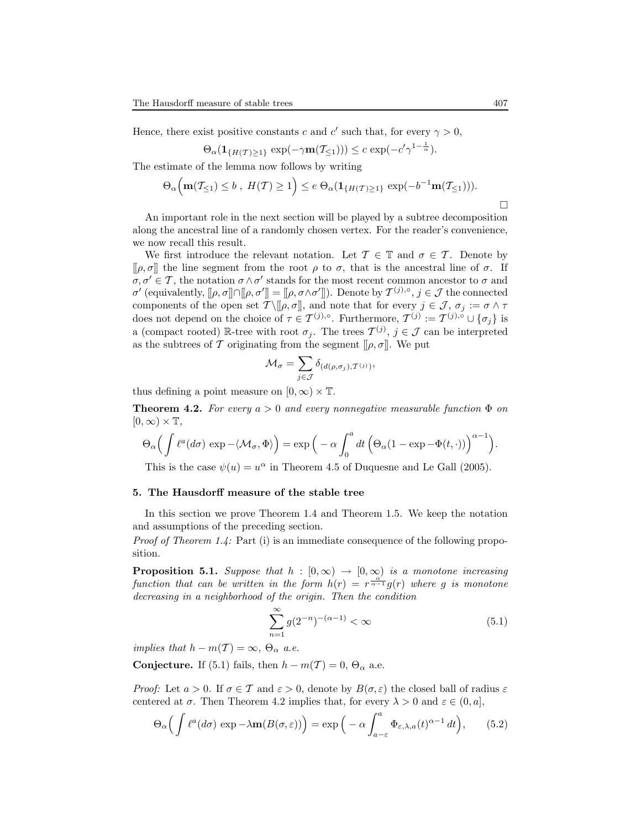Hence, there exist positive constants c and c' such that, for every  $\gamma > 0$ ,

$$
\Theta_{\alpha}(\mathbf{1}_{\{H(\mathcal{T})\geq 1\}} \exp(-\gamma \mathbf{m}(\mathcal{T}_{\leq 1}))) \leq c \exp(-c'\gamma^{1-\frac{1}{\alpha}}).
$$

The estimate of the lemma now follows by writing

$$
\Theta_{\alpha}\Big(\mathbf{m}(\mathcal{T}_{\leq 1}) \leq b \ , \ H(\mathcal{T}) \geq 1\Big) \leq e \ \Theta_{\alpha}(\mathbf{1}_{\{H(\mathcal{T}) \geq 1\}} \ \exp(-b^{-1}\mathbf{m}(\mathcal{T}_{\leq 1}))).
$$

An important role in the next section will be played by a subtree decomposition along the ancestral line of a randomly chosen vertex. For the reader's convenience, we now recall this result.

We first introduce the relevant notation. Let  $\mathcal{T} \in \mathbb{T}$  and  $\sigma \in \mathcal{T}$ . Denote by  $[\rho, \sigma]$  the line segment from the root  $\rho$  to  $\sigma$ , that is the ancestral line of  $\sigma$ . If  $\sigma, \sigma' \in \mathcal{T}$ , the notation  $\sigma \wedge \sigma'$  stands for the most recent common ancestor to  $\sigma$  and  $\sigma'$  (equivalently,  $[\![\rho, \sigma]\!] \cap [\![\rho, \sigma']\!] = [\![\rho, \sigma \land \sigma']\!]$ ). Denote by  $\mathcal{T}^{(j),\circ}, j \in \mathcal{J}$  the connected components of the open set  $\mathcal{T} \setminus [\![\rho, \sigma]\!]$ , and note that for every  $j \in \mathcal{J}$ ,  $\sigma_j := \sigma \wedge \tau$ does not depend on the choice of  $\tau \in \mathcal{T}^{(j),\circ}$ . Furthermore,  $\mathcal{T}^{(j)} := \mathcal{T}^{(j),\circ} \cup \{\sigma_j\}$  is a (compact rooted) R-tree with root  $\sigma_j$ . The trees  $\mathcal{T}^{(j)}$ ,  $j \in \mathcal{J}$  can be interpreted as the subtrees of T originating from the segment  $[\rho, \sigma]$ . We put

$$
\mathcal{M}_{\sigma} = \sum_{j \in \mathcal{J}} \delta_{(d(\rho, \sigma_j), \mathcal{T}^{(j)})},
$$

thus defining a point measure on  $[0, \infty) \times \mathbb{T}$ .

**Theorem 4.2.** For every  $a > 0$  and every nonnegative measurable function  $\Phi$  on  $[0, \infty) \times \mathbb{T}$ ,

$$
\Theta_\alpha \Big( \int \ell^a (d\sigma) \, \exp - \langle \mathcal{M}_\sigma , \Phi \rangle \Big) = \exp \Big( - \alpha \int_0^a dt \, \Big( \Theta_\alpha (1 - \exp - \Phi(t,\cdot)) \Big)^{\alpha -1} \Big).
$$

This is the case  $\psi(u) = u^{\alpha}$  in Theorem 4.5 of Duquesne and Le Gall (2005).

## 5. The Hausdorff measure of the stable tree

In this section we prove Theorem 1.4 and Theorem 1.5. We keep the notation and assumptions of the preceding section.

Proof of Theorem 1.4: Part (i) is an immediate consequence of the following proposition.

**Proposition 5.1.** Suppose that  $h : [0, \infty) \rightarrow [0, \infty)$  is a monotone increasing function that can be written in the form  $h(r) = r^{\frac{\alpha'}{\alpha-1}}g(r)$  where g is monotone decreasing in a neighborhood of the origin. Then the condition

$$
\sum_{n=1}^{\infty} g(2^{-n})^{-(\alpha-1)} < \infty \tag{5.1}
$$

implies that  $h - m(\mathcal{T}) = \infty$ ,  $\Theta_{\alpha}$  a.e.

Conjecture. If (5.1) fails, then  $h - m(\mathcal{T}) = 0$ ,  $\Theta_{\alpha}$  a.e.

*Proof:* Let  $a > 0$ . If  $\sigma \in \mathcal{T}$  and  $\varepsilon > 0$ , denote by  $B(\sigma, \varepsilon)$  the closed ball of radius  $\varepsilon$ centered at  $\sigma$ . Then Theorem 4.2 implies that, for every  $\lambda > 0$  and  $\varepsilon \in (0, a],$ 

$$
\Theta_{\alpha}\Big(\int \ell^{a}(d\sigma) \, \exp-\lambda \mathbf{m}(B(\sigma,\varepsilon))\Big) = \exp\Big(-\alpha \int_{a-\varepsilon}^{a} \Phi_{\varepsilon,\lambda,a}(t)^{\alpha-1} \, dt\Big),\tag{5.2}
$$

 $\Box$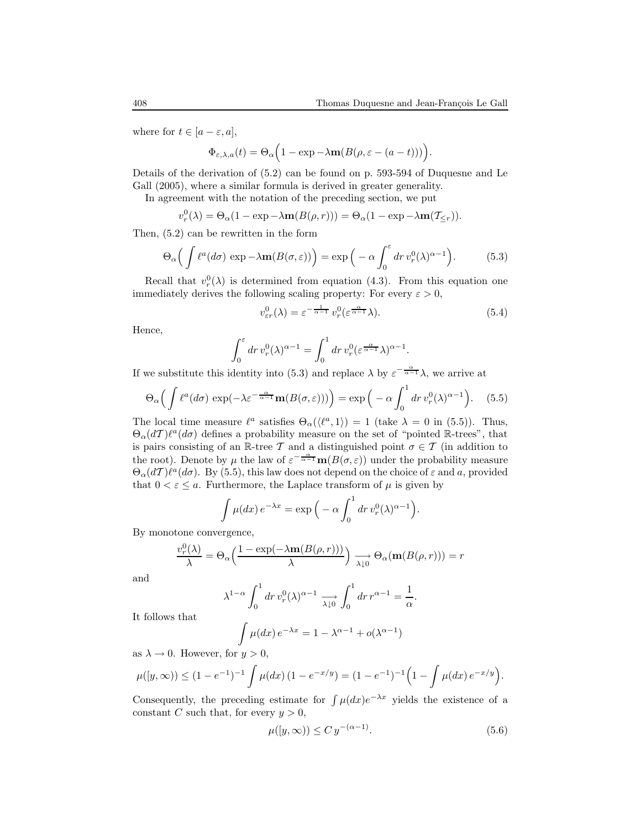where for  $t \in [a - \varepsilon, a],$ 

$$
\Phi_{\varepsilon,\lambda,a}(t) = \Theta_{\alpha}\Big(1 - \exp -\lambda \mathbf{m}(B(\rho,\varepsilon - (a-t)))\Big).
$$

Details of the derivation of (5.2) can be found on p. 593-594 of Duquesne and Le Gall  $(2005)$ , where a similar formula is derived in greater generality.

In agreement with the notation of the preceding section, we put

$$
v_r^0(\lambda) = \Theta_\alpha (1 - \exp -\lambda \mathbf{m}(B(\rho, r))) = \Theta_\alpha (1 - \exp -\lambda \mathbf{m}(T_{\leq r})).
$$

Then, (5.2) can be rewritten in the form

$$
\Theta_{\alpha} \Big( \int \ell^{a} (d\sigma) \, \exp -\lambda \mathbf{m}(B(\sigma, \varepsilon)) \Big) = \exp \Big( -\alpha \int_{0}^{\varepsilon} dr \, v_{r}^{0} (\lambda)^{\alpha - 1} \Big). \tag{5.3}
$$

Recall that  $v_r^0(\lambda)$  is determined from equation (4.3). From this equation one immediately derives the following scaling property: For every  $\varepsilon > 0$ ,

$$
v_{\varepsilon r}^{0}(\lambda) = \varepsilon^{-\frac{1}{\alpha - 1}} v_{r}^{0}(\varepsilon^{\frac{\alpha}{\alpha - 1}} \lambda).
$$
 (5.4)

Hence,

$$
\int_0^\varepsilon dr \, v_r^0(\lambda)^{\alpha-1} = \int_0^1 dr \, v_r^0(\varepsilon^{\frac{\alpha}{\alpha-1}} \lambda)^{\alpha-1}.
$$

If we substitute this identity into (5.3) and replace  $\lambda$  by  $\varepsilon^{-\frac{\alpha}{\alpha-1}}\lambda$ , we arrive at

$$
\Theta_{\alpha} \Big( \int \ell^{a} (d\sigma) \, \exp(-\lambda \varepsilon^{-\frac{\alpha}{\alpha-1}} \mathbf{m}(B(\sigma, \varepsilon))) \Big) = \exp \Big( -\alpha \int_{0}^{1} dr \, v_{r}^{0} (\lambda)^{\alpha-1} \Big). \tag{5.5}
$$

The local time measure  $\ell^a$  satisfies  $\Theta_{\alpha}(\langle \ell^a, 1 \rangle) = 1$  (take  $\lambda = 0$  in (5.5)). Thus,  $\Theta_{\alpha}(dT) \ell^{\alpha}(d\sigma)$  defines a probability measure on the set of "pointed R-trees", that is pairs consisting of an R-tree T and a distinguished point  $\sigma \in \mathcal{T}$  (in addition to the root). Denote by  $\mu$  the law of  $\varepsilon^{-\frac{\alpha}{\alpha-1}} \mathbf{m}(B(\sigma,\varepsilon))$  under the probability measure  $\Theta_{\alpha}(dT)\ell^{a}(d\sigma)$ . By (5.5), this law does not depend on the choice of  $\varepsilon$  and a, provided that  $0 < \varepsilon \le a$ . Furthermore, the Laplace transform of  $\mu$  is given by

$$
\int \mu(dx) e^{-\lambda x} = \exp\Big(-\alpha \int_0^1 dr \, v_r^0(\lambda)^{\alpha-1}\Big).
$$

By monotone convergence,

$$
\frac{v_r^0(\lambda)}{\lambda} = \Theta_\alpha \left( \frac{1 - \exp(-\lambda \mathbf{m}(B(\rho, r)))}{\lambda} \right) \xrightarrow[\lambda \downarrow 0]{} \Theta_\alpha(\mathbf{m}(B(\rho, r))) = r
$$

and

$$
\lambda^{1-\alpha} \int_0^1 dr \, v_r^0(\lambda)^{\alpha-1} \xrightarrow[\lambda \downarrow 0]{} \int_0^1 dr \, r^{\alpha-1} = \frac{1}{\alpha}.
$$

It follows that

$$
\int \mu(dx) \, e^{-\lambda x} = 1 - \lambda^{\alpha - 1} + o(\lambda^{\alpha - 1})
$$

as  $\lambda \to 0$ . However, for  $y > 0$ ,

$$
\mu([y,\infty)) \le (1-e^{-1})^{-1} \int \mu(dx) \left(1-e^{-x/y}\right) = (1-e^{-1})^{-1} \left(1 - \int \mu(dx) \, e^{-x/y}\right).
$$

Consequently, the preceding estimate for  $\int \mu(dx)e^{-\lambda x}$  yields the existence of a constant C such that, for every  $y > 0$ ,

$$
\mu([y,\infty)) \le C y^{-(\alpha-1)}.\tag{5.6}
$$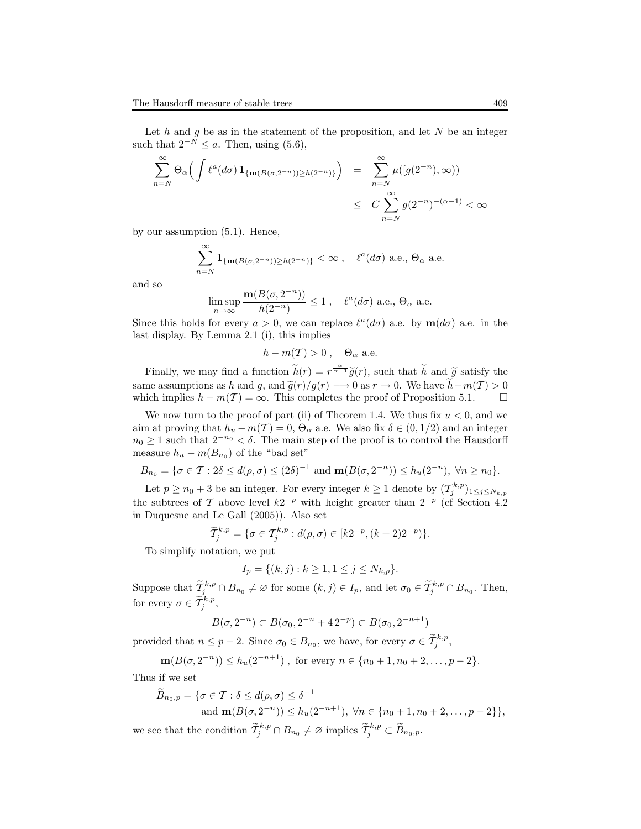Let  $h$  and  $g$  be as in the statement of the proposition, and let  $N$  be an integer such that  $2^{-N} \le a$ . Then, using (5.6),

$$
\sum_{n=N}^{\infty} \Theta_{\alpha} \Big( \int \ell^{a}(d\sigma) \mathbf{1}_{\{ \mathbf{m}(B(\sigma,2^{-n})) \geq h(2^{-n}) \}} \Big) = \sum_{n=N}^{\infty} \mu([g(2^{-n}), \infty))
$$
  

$$
\leq C \sum_{n=N}^{\infty} g(2^{-n})^{-(\alpha-1)} < \infty
$$

by our assumption (5.1). Hence,

$$
\sum_{n=N}^{\infty} \mathbf{1}_{\{\mathbf{m}(B(\sigma,2^{-n}))\geq h(2^{-n})\}} < \infty \,, \quad \ell^a(d\sigma) \text{ a.e., } \Theta_\alpha \text{ a.e.}
$$

and so

$$
\limsup_{n \to \infty} \frac{\mathbf{m}(B(\sigma, 2^{-n}))}{h(2^{-n})} \le 1, \quad \ell^a(d\sigma) \text{ a.e., } \Theta_\alpha \text{ a.e.}
$$

Since this holds for every  $a > 0$ , we can replace  $\ell^a(d\sigma)$  a.e. by  $\mathbf{m}(d\sigma)$  a.e. in the last display. By Lemma 2.1 (i), this implies

$$
h - m(\mathcal{T}) > 0
$$
,  $\Theta_{\alpha}$  a.e.

Finally, we may find a function  $\widetilde{h}(r) = r^{\frac{\alpha}{\alpha-1}} \widetilde{g}(r)$ , such that  $\widetilde{h}$  and  $\widetilde{g}$  satisfy the same assumptions as h and g, and  $\tilde{g}(r)/g(r) \longrightarrow 0$  as  $r \rightarrow 0$ . We have  $\tilde{h} - m(\mathcal{T}) > 0$  which implies  $h - m(\mathcal{T}) = \infty$ . This completes the proof of Proposition 5.1. which implies  $h - m(\mathcal{T}) = \infty$ . This completes the proof of Proposition 5.1.

We now turn to the proof of part (ii) of Theorem 1.4. We thus fix  $u < 0$ , and we aim at proving that  $h_u - m(\mathcal{T}) = 0$ ,  $\Theta_{\alpha}$  a.e. We also fix  $\delta \in (0, 1/2)$  and an integer  $n_0 \geq 1$  such that  $2^{-n_0} < \delta$ . The main step of the proof is to control the Hausdorff measure  $h_u - m(B_{n_0})$  of the "bad set"

$$
B_{n_0} = \{\sigma \in \mathcal{T} : 2\delta \le d(\rho, \sigma) \le (2\delta)^{-1} \text{ and } \mathbf{m}(B(\sigma, 2^{-n})) \le h_u(2^{-n}), \ \forall n \ge n_0\}.
$$

Let  $p \ge n_0 + 3$  be an integer. For every integer  $k \ge 1$  denote by  $(\mathcal{T}_j^{k,p})_{1 \le j \le N_{k,p}}$ the subtrees of T above level  $k2^{-p}$  with height greater than  $2^{-p}$  (cf Section 4.2) in Duquesne and Le Gall (2005)). Also set

$$
\widetilde{T}_j^{k,p} = \{ \sigma \in T_j^{k,p} : d(\rho, \sigma) \in [k2^{-p}, (k+2)2^{-p}) \}.
$$

To simplify notation, we put

$$
I_p = \{(k, j) : k \ge 1, 1 \le j \le N_{k, p}\}.
$$

Suppose that  $\widetilde{\mathcal{T}}_j^{k,p} \cap B_{n_0} \neq \varnothing$  for some  $(k, j) \in I_p$ , and let  $\sigma_0 \in \widetilde{\mathcal{T}}_j^{k,p} \cap B_{n_0}$ . Then, for every  $\sigma \in \widetilde{\mathcal{T}}_j^{k,p}$ ,

$$
B(\sigma, 2^{-n}) \subset B(\sigma_0, 2^{-n} + 4\,2^{-p}) \subset B(\sigma_0, 2^{-n+1})
$$

provided that  $n \leq p-2$ . Since  $\sigma_0 \in B_{n_0}$ , we have, for every  $\sigma \in \widetilde{\mathcal{T}}_j^{k,p}$ ,

$$
\mathbf{m}(B(\sigma,2^{-n})) \le h_u(2^{-n+1}), \text{ for every } n \in \{n_0+1,n_0+2,\ldots,p-2\}.
$$

Thus if we set

$$
\widetilde{B}_{n_0,p} = \{ \sigma \in \mathcal{T} : \delta \le d(\rho, \sigma) \le \delta^{-1} \n\text{and } \mathbf{m}(B(\sigma, 2^{-n})) \le h_u(2^{-n+1}), \ \forall n \in \{n_0 + 1, n_0 + 2, \dots, p - 2\} \},
$$
\nwe see that the condition  $\widetilde{\mathcal{T}}_j^{k,p} \cap B_{n_0} \neq \varnothing$  implies  $\widetilde{\mathcal{T}}_j^{k,p} \subset \widetilde{B}_{n_0,p}.$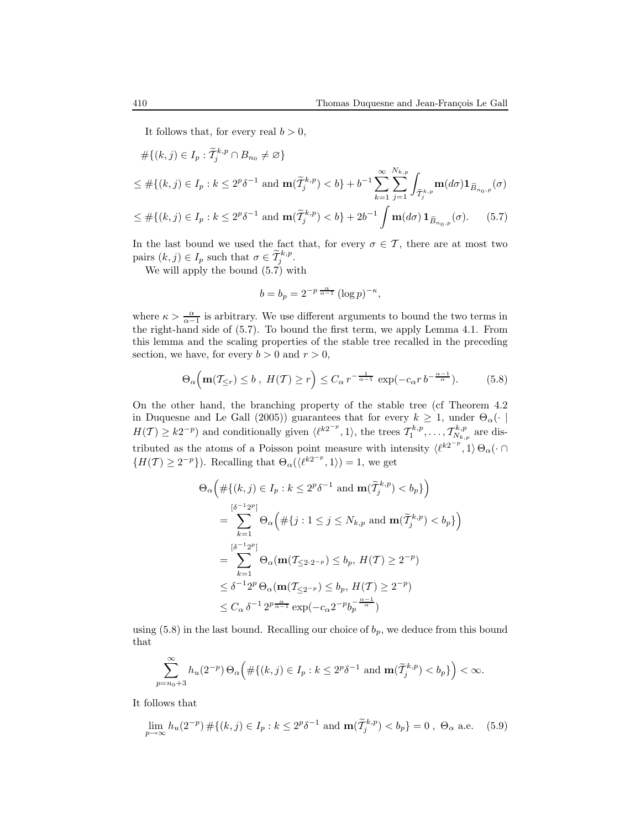It follows that, for every real  $b > 0$ ,

$$
\#\{(k,j) \in I_p : \widetilde{T}_j^{k,p} \cap B_{n_0} \neq \varnothing\}
$$
\n
$$
\leq \#\{(k,j) \in I_p : k \leq 2^p \delta^{-1} \text{ and } \mathbf{m}(\widetilde{T}_j^{k,p}) < b\} + b^{-1} \sum_{k=1}^{\infty} \sum_{j=1}^{N_{k,p}} \int_{\widetilde{T}_j^{k,p}} \mathbf{m}(d\sigma) \mathbf{1}_{\widetilde{B}_{n_0,p}}(\sigma)
$$
\n
$$
\leq \#\{(k,j) \in I_p : k \leq 2^p \delta^{-1} \text{ and } \mathbf{m}(\widetilde{T}_j^{k,p}) < b\} + 2b^{-1} \int \mathbf{m}(d\sigma) \mathbf{1}_{\widetilde{B}_{n_0,p}}(\sigma). \tag{5.7}
$$

In the last bound we used the fact that, for every  $\sigma \in \mathcal{T}$ , there are at most two pairs  $(k, j) \in I_p$  such that  $\sigma \in \widetilde{\mathcal{T}}_j^{k, p}$ .

We will apply the bound (5.7) with

$$
b = b_p = 2^{-p \frac{\alpha}{\alpha - 1}} (\log p)^{-\kappa},
$$

where  $\kappa > \frac{\alpha}{\alpha - 1}$  is arbitrary. We use different arguments to bound the two terms in the right-hand side of (5.7). To bound the first term, we apply Lemma 4.1. From this lemma and the scaling properties of the stable tree recalled in the preceding section, we have, for every  $b > 0$  and  $r > 0$ ,

$$
\Theta_{\alpha}\Big(\mathbf{m}(\mathcal{T}_{\leq r}) \leq b \ , \ H(\mathcal{T}) \geq r\Big) \leq C_{\alpha} r^{-\frac{1}{\alpha-1}} \exp(-c_{\alpha} r \, b^{-\frac{\alpha-1}{\alpha}}). \tag{5.8}
$$

On the other hand, the branching property of the stable tree (cf Theorem 4.2 in Duquesne and Le Gall (2005)) guarantees that for every  $k \geq 1$ , under  $\Theta_{\alpha}(\cdot |$  $H(\mathcal{T}) \geq k2^{-p}$  and conditionally given  $\langle \ell^{k2^{-p}}, 1 \rangle$ , the trees  $\mathcal{T}_1^{k,p}, \ldots, \mathcal{T}_{N_{k,p}}^{k,p}$  are distributed as the atoms of a Poisson point measure with intensity  $\langle \ell^{k2^{-p}}, 1 \rangle \Theta_{\alpha}(\cdot \cap$  $\{H(\mathcal{T}) \geq 2^{-p}\}\)$ . Recalling that  $\Theta_{\alpha}(\langle \ell^{k2^{-p}}, 1 \rangle) = 1$ , we get

$$
\Theta_{\alpha}\Big(\#\{(k,j)\in I_p : k\leq 2^p\delta^{-1} \text{ and } \mathbf{m}(\widetilde{T}_j^{k,p}) < b_p\}\Big)
$$
\n
$$
= \sum_{k=1}^{[\delta^{-1}2^p]} \Theta_{\alpha}\Big(\#\{j : 1 \leq j \leq N_{k,p} \text{ and } \mathbf{m}(\widetilde{T}_j^{k,p}) < b_p\}\Big)
$$
\n
$$
= \sum_{k=1}^{[\delta^{-1}2^p]} \Theta_{\alpha}(\mathbf{m}(T_{\leq 2\cdot 2^{-p}}) \leq b_p, H(T) \geq 2^{-p})
$$
\n
$$
\leq \delta^{-1}2^p \Theta_{\alpha}(\mathbf{m}(T_{\leq 2^{-p}}) \leq b_p, H(T) \geq 2^{-p})
$$
\n
$$
\leq C_{\alpha} \delta^{-1} 2^p \frac{\alpha}{\alpha^{-1}} \exp(-c_{\alpha} 2^{-p} b_p^{-\frac{\alpha-1}{\alpha}})
$$

using  $(5.8)$  in the last bound. Recalling our choice of  $b_p$ , we deduce from this bound that

$$
\sum_{p=n_0+3}^{\infty} h_u(2^{-p}) \Theta_{\alpha}\Big(\#\{(k,j) \in I_p : k \leq 2^p \delta^{-1} \text{ and } \mathbf{m}(\widetilde{\mathcal{I}}_j^{k,p}) < b_p\}\Big) < \infty.
$$

It follows that

$$
\lim_{p \to \infty} h_u(2^{-p}) \# \{ (k, j) \in I_p : k \le 2^p \delta^{-1} \text{ and } \mathbf{m}(\widetilde{T}_j^{k, p}) < b_p \} = 0 \,, \ \Theta_\alpha \text{ a.e.} \tag{5.9}
$$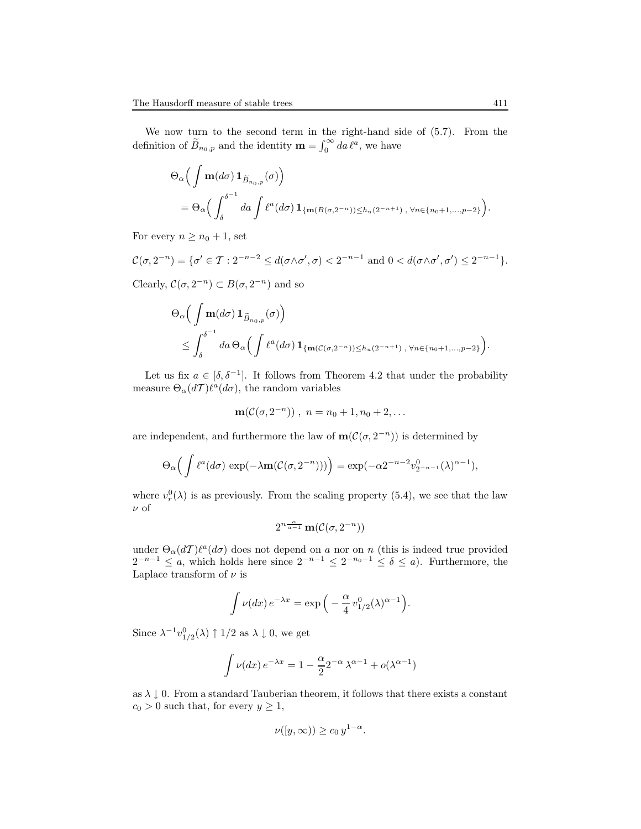We now turn to the second term in the right-hand side of (5.7). From the definition of  $\widetilde{B}_{n_0,p}$  and the identity  $\mathbf{m} = \int_0^\infty da \, \ell^a$ , we have

$$
\Theta_{\alpha} \Big( \int \mathbf{m}(d\sigma) \mathbf{1}_{\widetilde{B}_{n_0,p}}(\sigma) \Big) \n= \Theta_{\alpha} \Big( \int_{\delta}^{\delta^{-1}} da \int \ell^{\alpha}(d\sigma) \mathbf{1}_{\{\mathbf{m}(B(\sigma,2^{-n})) \le h_u(2^{-n+1}), \forall n \in \{n_0+1,\dots,p-2\}}}\Big).
$$

For every  $n \geq n_0 + 1$ , set

$$
\mathcal{C}(\sigma, 2^{-n}) = \{\sigma' \in \mathcal{T} : 2^{-n-2} \leq d(\sigma \wedge \sigma', \sigma) < 2^{-n-1} \text{ and } 0 < d(\sigma \wedge \sigma', \sigma') \leq 2^{-n-1}\}.
$$

Clearly,  $\mathcal{C}(\sigma, 2^{-n}) \subset B(\sigma, 2^{-n})$  and so

$$
\Theta_{\alpha} \Big( \int \mathbf{m}(d\sigma) \mathbf{1}_{\widetilde{B}_{n_0,p}}(\sigma) \Big) \leq \int_{\delta}^{\delta^{-1}} da \, \Theta_{\alpha} \Big( \int \ell^{a}(d\sigma) \mathbf{1}_{\{\mathbf{m}(\mathcal{C}(\sigma,2^{-n})) \leq h_u(2^{-n+1}), \, \forall n \in \{n_0+1,\dots,p-2\}} \Big).
$$

Let us fix  $a \in [\delta, \delta^{-1}]$ . It follows from Theorem 4.2 that under the probability measure  $\Theta_{\alpha}(dT) \ell^{a}(d\sigma)$ , the random variables

$$
\mathbf{m}(\mathcal{C}(\sigma, 2^{-n})) , n = n_0 + 1, n_0 + 2, \dots
$$

are independent, and furthermore the law of  $m(\mathcal{C}(\sigma, 2^{-n}))$  is determined by

$$
\Theta_{\alpha}\Big(\int \ell^{a}(d\sigma) \, \exp(-\lambda \mathbf{m}(\mathcal{C}(\sigma, 2^{-n})))\Big) = \exp(-\alpha 2^{-n-2}v_{2^{-n-1}}^{0}(\lambda)^{\alpha-1}),
$$

where  $v_r^0(\lambda)$  is as previously. From the scaling property (5.4), we see that the law ν of

$$
2^{n\frac{\alpha}{\alpha-1}}\mathbf{m}(\mathcal{C}(\sigma,2^{-n}))
$$

under  $\Theta_{\alpha}(dT) \ell^{a}(d\sigma)$  does not depend on a nor on n (this is indeed true provided  $2^{-n-1} \leq a$ , which holds here since  $2^{-n-1} \leq 2^{-n-1} \leq \delta \leq a$ ). Furthermore, the Laplace transform of  $\nu$  is

$$
\int \nu(dx) \, e^{-\lambda x} = \exp\left(-\frac{\alpha}{4} v_{1/2}^0(\lambda)^{\alpha-1}\right).
$$

Since  $\lambda^{-1}v_{1/2}^0(\lambda) \uparrow 1/2$  as  $\lambda \downarrow 0$ , we get

$$
\int \nu(dx) \, e^{-\lambda x} = 1 - \frac{\alpha}{2} 2^{-\alpha} \lambda^{\alpha - 1} + o(\lambda^{\alpha - 1})
$$

as  $\lambda \downarrow 0$ . From a standard Tauberian theorem, it follows that there exists a constant  $c_0 > 0$  such that, for every  $y \geq 1$ ,

$$
\nu([y,\infty)) \ge c_0 y^{1-\alpha}.
$$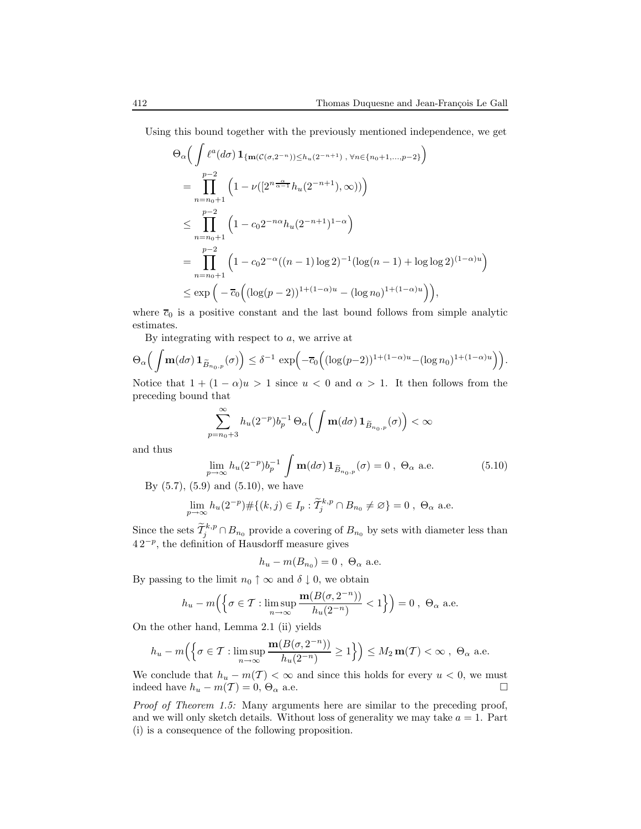Using this bound together with the previously mentioned independence, we get

$$
\Theta_{\alpha} \Big( \int \ell^{a} (d\sigma) \mathbf{1}_{\{ \mathbf{m}(\mathcal{C}(\sigma, 2^{-n})) \leq h_{u}(2^{-n+1}), \forall n \in \{n_{0}+1, \dots, p-2\}} } \Big)
$$
\n
$$
= \prod_{n=n_{0}+1}^{p-2} \left( 1 - \nu([2^{n \frac{\alpha}{\alpha-1}} h_{u}(2^{-n+1}), \infty)) \right)
$$
\n
$$
\leq \prod_{n=n_{0}+1}^{p-2} \left( 1 - c_{0} 2^{-n\alpha} h_{u}(2^{-n+1})^{1-\alpha} \right)
$$
\n
$$
= \prod_{n=n_{0}+1}^{p-2} \left( 1 - c_{0} 2^{-\alpha} ((n-1) \log 2)^{-1} (\log (n-1) + \log \log 2)^{(1-\alpha)u} \right)
$$
\n
$$
\leq \exp \left( -\overline{c}_{0} \Big( (\log (p-2))^{1+(1-\alpha)u} - (\log n_{0})^{1+(1-\alpha)u} \Big) \Big),
$$

where  $\overline{c}_0$  is a positive constant and the last bound follows from simple analytic estimates.

By integrating with respect to  $a$ , we arrive at

$$
\Theta_{\alpha}\Big(\int \mathbf{m}(d\sigma) \mathbf{1}_{\widetilde{B}_{n_0,p}}(\sigma)\Big) \leq \delta^{-1} \exp\Big(\neg \overline{c}_0\Big((\log(p-2))^{1+(1-\alpha)u} - (\log n_0)^{1+(1-\alpha)u}\Big)\Big).
$$

Notice that  $1 + (1 - \alpha)u > 1$  since  $u < 0$  and  $\alpha > 1$ . It then follows from the preceding bound that

$$
\sum_{p=n_0+3}^{\infty} h_u(2^{-p}) b_p^{-1} \Theta_{\alpha}\Big(\int \mathbf{m}(d\sigma) \, \mathbf{1}_{\widetilde{B}_{n_0,p}}(\sigma)\Big)<\infty
$$

and thus

$$
\lim_{p \to \infty} h_u(2^{-p}) b_p^{-1} \int \mathbf{m}(d\sigma) \mathbf{1}_{\widetilde{B}_{n_0,p}}(\sigma) = 0 , \ \Theta_\alpha \text{ a.e.}
$$
 (5.10)

By (5.7), (5.9) and (5.10), we have

$$
\lim_{p \to \infty} h_u(2^{-p}) \# \{(k, j) \in I_p : \widetilde{T}_j^{k, p} \cap B_{n_0} \neq \emptyset\} = 0 , \ \Theta_\alpha \text{ a.e.}
$$

Since the sets  $\widetilde{\mathcal{T}}_j^{k,p} \cap B_{n_0}$  provide a covering of  $B_{n_0}$  by sets with diameter less than  $4.2^{-p}$ , the definition of Hausdorff measure gives

$$
h_u - m(B_{n_0}) = 0 , \ \Theta_{\alpha} \text{ a.e.}
$$

By passing to the limit  $n_0 \uparrow \infty$  and  $\delta \downarrow 0$ , we obtain

$$
h_u - m\left(\left\{\sigma \in \mathcal{T} : \limsup_{n \to \infty} \frac{\mathbf{m}(B(\sigma, 2^{-n}))}{h_u(2^{-n})} < 1\right\}\right) = 0 \ , \ \Theta_\alpha \text{ a.e.}
$$

On the other hand, Lemma 2.1 (ii) yields

$$
h_u - m\Big(\Big\{\sigma \in \mathcal{T}: \limsup_{n \to \infty} \frac{\mathbf{m}(B(\sigma, 2^{-n}))}{h_u(2^{-n})} \ge 1\Big\}\Big) \le M_2 \mathbf{m}(\mathcal{T}) < \infty , \ \Theta_\alpha \text{ a.e.}
$$

We conclude that  $h_u - m(\mathcal{T}) < \infty$  and since this holds for every  $u < 0$ , we must indeed have  $h_u - m(\mathcal{T}) = 0$ ,  $\Theta_{\alpha}$  a.e.

Proof of Theorem 1.5: Many arguments here are similar to the preceding proof, and we will only sketch details. Without loss of generality we may take  $a = 1$ . Part (i) is a consequence of the following proposition.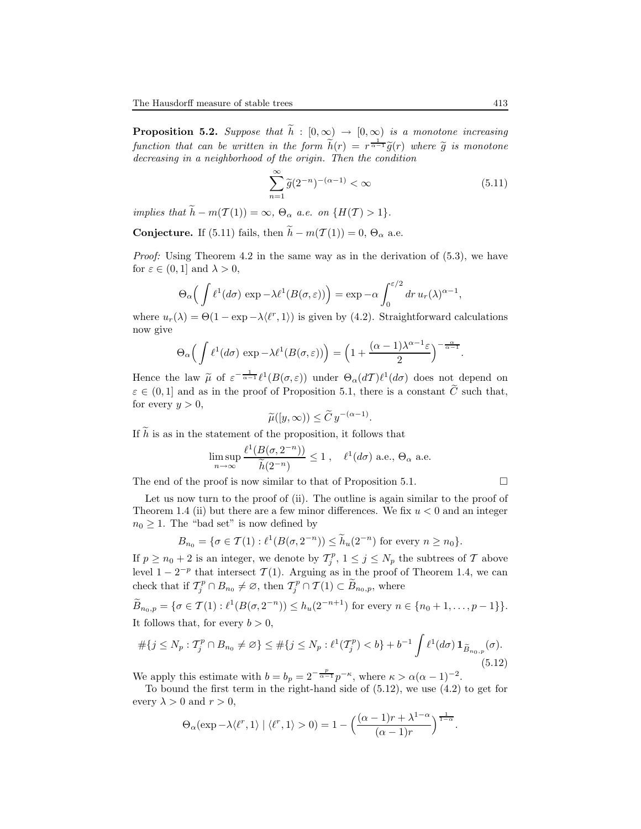**Proposition 5.2.** Suppose that  $\tilde{h} : [0, \infty) \rightarrow [0, \infty)$  is a monotone increasing function that can be written in the form  $\widetilde{h}(r) = r^{\frac{1}{\alpha-1}} \widetilde{g}(r)$  where  $\widetilde{g}$  is monotone decreasing in a neighborhood of the origin. Then the condition

$$
\sum_{n=1}^{\infty} \tilde{g}(2^{-n})^{-(\alpha-1)} < \infty \tag{5.11}
$$

implies that  $\widetilde{h} - m(\mathcal{T}(1)) = \infty$ ,  $\Theta_{\alpha}$  a.e. on  $\{H(\mathcal{T}) > 1\}$ .

**Conjecture.** If (5.11) fails, then  $\tilde{h} - m(\mathcal{T}(1)) = 0$ ,  $\Theta_{\alpha}$  a.e.

Proof: Using Theorem 4.2 in the same way as in the derivation of (5.3), we have for  $\varepsilon \in (0,1]$  and  $\lambda > 0$ ,

$$
\Theta_{\alpha} \Big( \int \ell^1(d\sigma) \, \exp \, -\lambda \ell^1(B(\sigma,\varepsilon)) \Big) = \exp -\alpha \int_0^{\varepsilon/2} dr \, u_r(\lambda)^{\alpha-1},
$$

where  $u_r(\lambda) = \Theta(1 - \exp(-\lambda \langle \ell^r, 1 \rangle))$  is given by (4.2). Straightforward calculations now give

$$
\Theta_{\alpha}\left(\int \ell^1(d\sigma) \, \exp -\lambda \ell^1(B(\sigma,\varepsilon))\right) = \left(1 + \frac{(\alpha-1)\lambda^{\alpha-1}\varepsilon}{2}\right)^{-\frac{\alpha}{\alpha-1}}.
$$

Hence the law  $\tilde{\mu}$  of  $\varepsilon^{-\frac{1}{\alpha-1}}\ell^1(B(\sigma,\varepsilon))$  under  $\Theta_\alpha(d\mathcal{T})\ell^1(d\sigma)$  does not depend on  $\varepsilon \in (0,1]$  and as in the proof of Proposition 5.1, there is a constant  $\tilde{C}$  such that, for every  $y > 0$ ,

$$
\widetilde{\mu}([y,\infty)) \le \widetilde{C} \, y^{-(\alpha-1)}.
$$

If  $h$  is as in the statement of the proposition, it follows that

$$
\limsup_{n \to \infty} \frac{\ell^1(B(\sigma, 2^{-n}))}{\widetilde{h}(2^{-n})} \le 1, \quad \ell^1(d\sigma) \text{ a.e., } \Theta_\alpha \text{ a.e.}
$$

The end of the proof is now similar to that of Proposition 5.1.

$$
\sqcup
$$

Let us now turn to the proof of (ii). The outline is again similar to the proof of Theorem 1.4 (ii) but there are a few minor differences. We fix  $u < 0$  and an integer  $n_0 \geq 1$ . The "bad set" is now defined by

$$
B_{n_0} = \{ \sigma \in \mathcal{T}(1) : \ell^1(B(\sigma, 2^{-n})) \le \widetilde{h}_u(2^{-n}) \text{ for every } n \ge n_0 \}.
$$

If  $p \geq n_0 + 2$  is an integer, we denote by  $\mathcal{T}_j^p$ ,  $1 \leq j \leq N_p$  the subtrees of  $\mathcal T$  above level  $1 - 2^{-p}$  that intersect  $\mathcal{T}(1)$ . Arguing as in the proof of Theorem 1.4, we can check that if  $\mathcal{T}_{j}^{p} \cap B_{n_{0}} \neq \varnothing$ , then  $\mathcal{T}_{j}^{p} \cap \mathcal{T}(1) \subset \widetilde{B}_{n_{0},p}$ , where

$$
\widetilde{B}_{n_0,p} = \{ \sigma \in \mathcal{T}(1) : \ell^1(B(\sigma, 2^{-n})) \le h_u(2^{-n+1}) \text{ for every } n \in \{n_0+1,\ldots,p-1\} \}.
$$
  
It follows that, for every  $b > 0$ ,

$$
\#\{j \le N_p : T_j^p \cap B_{n_0} \ne \emptyset\} \le \#\{j \le N_p : \ell^1(T_j^p) < b\} + b^{-1} \int \ell^1(d\sigma) \mathbf{1}_{\widetilde{B}_{n_0,p}}(\sigma). \tag{5.12}
$$

We apply this estimate with  $b = b_p = 2^{-\frac{p}{\alpha-1}} p^{-\kappa}$ , where  $\kappa > \alpha(\alpha-1)^{-2}$ .

To bound the first term in the right-hand side of (5.12), we use (4.2) to get for every  $\lambda > 0$  and  $r > 0$ ,

$$
\Theta_{\alpha}(\exp - \lambda \langle \ell^r, 1 \rangle \mid \langle \ell^r, 1 \rangle > 0) = 1 - \left( \frac{(\alpha - 1)r + \lambda^{1-\alpha}}{(\alpha - 1)r} \right)^{\frac{1}{1-\alpha}}.
$$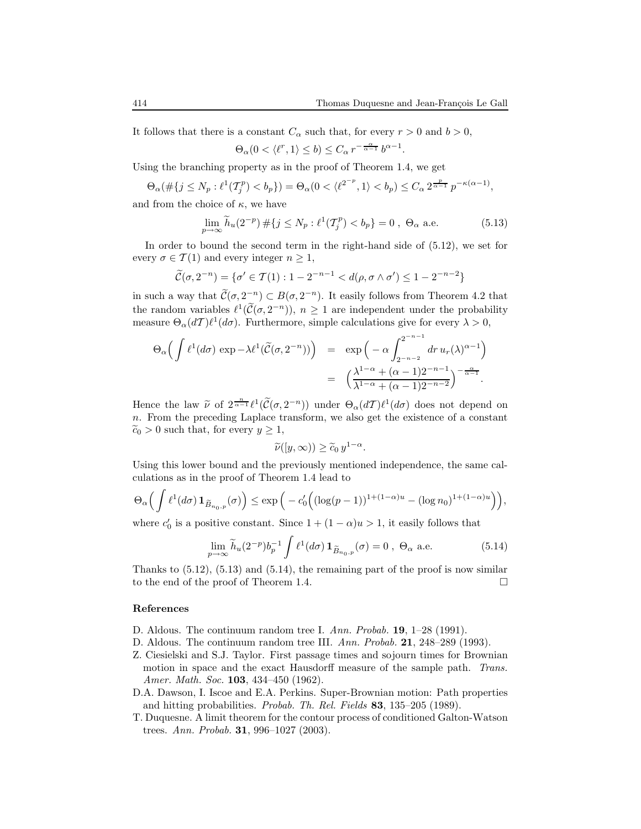It follows that there is a constant  $C_{\alpha}$  such that, for every  $r > 0$  and  $b > 0$ ,

$$
\Theta_{\alpha}(0<\langle \ell^r, 1 \rangle \leq b) \leq C_{\alpha} r^{-\frac{\alpha}{\alpha-1}} b^{\alpha-1}.
$$

Using the branching property as in the proof of Theorem 1.4, we get

$$
\Theta_{\alpha}(\#\{j\leq N_p:\ell^1(\mathcal{T}_j^p)
$$

and from the choice of  $\kappa$ , we have

$$
\lim_{p \to \infty} \tilde{h}_u(2^{-p}) \, \# \{ j \le N_p : \ell^1(\mathcal{I}_j^p) < b_p \} = 0 \,, \, \Theta_\alpha \text{ a.e.} \tag{5.13}
$$

In order to bound the second term in the right-hand side of (5.12), we set for every  $\sigma \in \mathcal{T}(1)$  and every integer  $n \geq 1$ ,

$$
\widetilde{\mathcal{C}}(\sigma, 2^{-n}) = \{ \sigma' \in \mathcal{T}(1) : 1 - 2^{-n-1} < d(\rho, \sigma \wedge \sigma') \le 1 - 2^{-n-2} \}
$$

in such a way that  $\mathcal{C}(\sigma, 2^{-n}) \subset B(\sigma, 2^{-n})$ . It easily follows from Theorem 4.2 that the random variables  $\ell^1(\mathcal{C}(\sigma, 2^{-n}))$ ,  $n \geq 1$  are independent under the probability measure  $\Theta_{\alpha}(dT) \ell^{1}(d\sigma)$ . Furthermore, simple calculations give for every  $\lambda > 0$ ,

$$
\Theta_{\alpha} \Big( \int \ell^1(d\sigma) \exp \left( -\lambda \ell^1(\widetilde{\mathcal{C}}(\sigma, 2^{-n})) \right) = \exp \left( -\alpha \int_{2^{-n-2}}^{2^{-n-1}} dr \, u_r(\lambda)^{\alpha-1} \right)
$$

$$
= \left( \frac{\lambda^{1-\alpha} + (\alpha - 1)2^{-n-1}}{\lambda^{1-\alpha} + (\alpha - 1)2^{-n-2}} \right)^{-\frac{\alpha}{\alpha-1}}.
$$

Hence the law  $\tilde{\nu}$  of  $2^{\frac{n}{\alpha-1}}\ell^1(\tilde{\mathcal{C}}(\sigma,2^{-n}))$  under  $\Theta_{\alpha}(dT)\ell^1(d\sigma)$  does not depend on n. From the preceding Laplace transform, we also get the existence of a constant  $\widetilde{c}_0 > 0$  such that, for every  $y \geq 1$ ,

$$
\widetilde{\nu}([y,\infty)) \ge \widetilde{c}_0 \, y^{1-\alpha}.
$$

Using this lower bound and the previously mentioned independence, the same calculations as in the proof of Theorem 1.4 lead to

$$
\Theta_\alpha \Big( \int \ell^1(d\sigma) \, \mathbf{1}_{\widetilde{B}_{n_0,p}}(\sigma) \Big) \le \exp \Big( -c_0' \Big( (\log(p-1))^{1+(1-\alpha)u} - (\log n_0)^{1+(1-\alpha)u} \Big) \Big),
$$

where  $c'_0$  is a positive constant. Since  $1 + (1 - \alpha)u > 1$ , it easily follows that

$$
\lim_{p \to \infty} \widetilde{h}_u(2^{-p}) b_p^{-1} \int \ell^1(d\sigma) \mathbf{1}_{\widetilde{B}_{n_0,p}}(\sigma) = 0 , \ \Theta_\alpha \text{ a.e.}
$$
 (5.14)

Thanks to (5.12), (5.13) and (5.14), the remaining part of the proof is now similar to the end of the proof of Theorem 1.4.

## References

- D. Aldous. The continuum random tree I. Ann. Probab. 19, 1–28 (1991).
- D. Aldous. The continuum random tree III. Ann. Probab. **21**, 248–289 (1993).
- Z. Ciesielski and S.J. Taylor. First passage times and sojourn times for Brownian motion in space and the exact Hausdorff measure of the sample path. Trans. Amer. Math. Soc. **103**, 434-450 (1962).
- D.A. Dawson, I. Iscoe and E.A. Perkins. Super-Brownian motion: Path properties and hitting probabilities. Probab. Th. Rel. Fields 83, 135–205 (1989).
- T. Duquesne. A limit theorem for the contour process of conditioned Galton-Watson trees. Ann. Probab. 31, 996–1027 (2003).